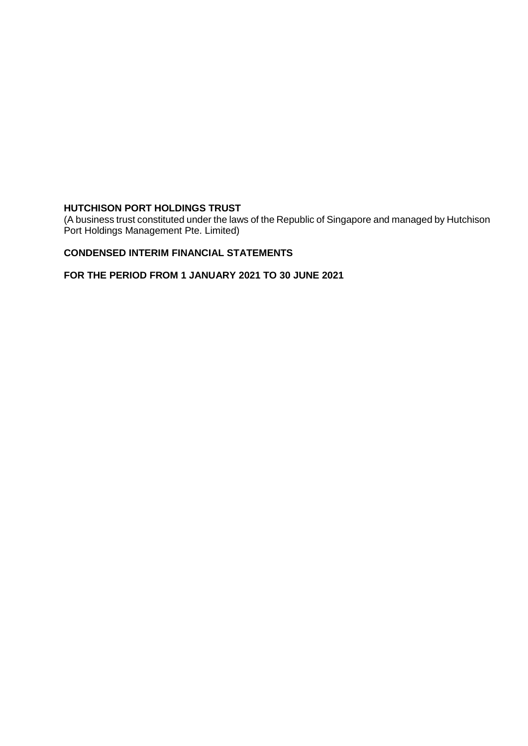(A business trust constituted under the laws of the Republic of Singapore and managed by Hutchison Port Holdings Management Pte. Limited)

# **CONDENSED INTERIM FINANCIAL STATEMENTS**

**FOR THE PERIOD FROM 1 JANUARY 2021 TO 30 JUNE 2021**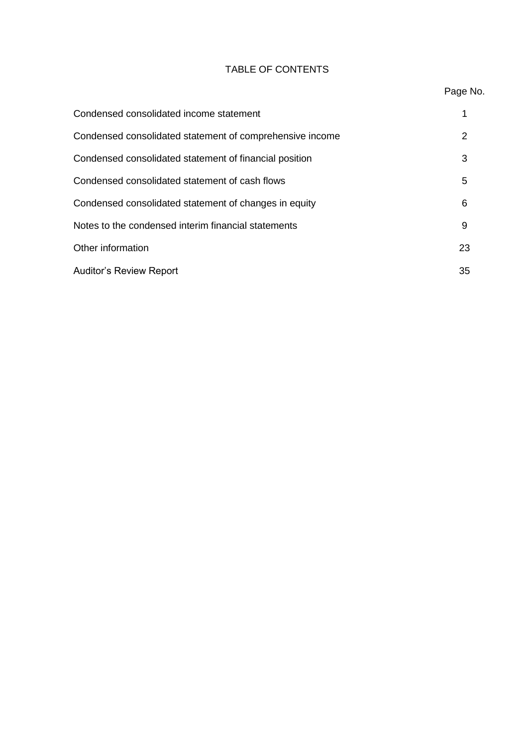# TABLE OF CONTENTS

# Page No.

| Condensed consolidated income statement                  |    |
|----------------------------------------------------------|----|
| Condensed consolidated statement of comprehensive income | 2  |
| Condensed consolidated statement of financial position   | 3  |
| Condensed consolidated statement of cash flows           | 5  |
| Condensed consolidated statement of changes in equity    | 6  |
| Notes to the condensed interim financial statements      | 9  |
| Other information                                        | 23 |
| <b>Auditor's Review Report</b>                           | 35 |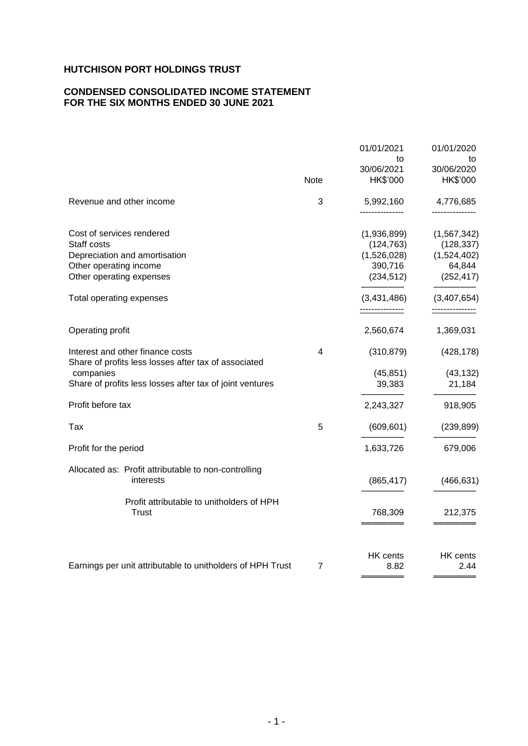# **CONDENSED CONSOLIDATED INCOME STATEMENT FOR THE SIX MONTHS ENDED 30 JUNE 2021**

|                                                                                                                                 |             | 01/01/2021<br>to<br>30/06/2021                                    | 01/01/2020<br>to<br>30/06/2020                                     |
|---------------------------------------------------------------------------------------------------------------------------------|-------------|-------------------------------------------------------------------|--------------------------------------------------------------------|
|                                                                                                                                 | <b>Note</b> | HK\$'000                                                          | HK\$'000                                                           |
| Revenue and other income                                                                                                        | 3           | 5,992,160                                                         | 4,776,685                                                          |
| Cost of services rendered<br>Staff costs<br>Depreciation and amortisation<br>Other operating income<br>Other operating expenses |             | (1,936,899)<br>(124, 763)<br>(1,526,028)<br>390,716<br>(234, 512) | (1, 567, 342)<br>(128, 337)<br>(1,524,402)<br>64,844<br>(252, 417) |
| Total operating expenses                                                                                                        |             | (3,431,486)<br>                                                   | (3,407,654)                                                        |
| Operating profit                                                                                                                |             | 2,560,674                                                         | 1,369,031                                                          |
| Interest and other finance costs<br>Share of profits less losses after tax of associated                                        | 4           | (310, 879)                                                        | (428, 178)                                                         |
| companies<br>Share of profits less losses after tax of joint ventures                                                           |             | (45, 851)<br>39,383                                               | (43, 132)<br>21,184                                                |
| Profit before tax                                                                                                               |             | 2,243,327                                                         | 918,905                                                            |
| Tax                                                                                                                             | 5           | (609, 601)                                                        | (239, 899)                                                         |
| Profit for the period                                                                                                           |             | 1,633,726                                                         | 679,006                                                            |
| Allocated as: Profit attributable to non-controlling<br>interests                                                               |             | (865, 417)                                                        | (466, 631)                                                         |
| Profit attributable to unitholders of HPH<br><b>Trust</b>                                                                       |             | 768,309                                                           | 212,375                                                            |
| Earnings per unit attributable to unitholders of HPH Trust                                                                      | 7           | HK cents<br>8.82                                                  | HK cents<br>2.44                                                   |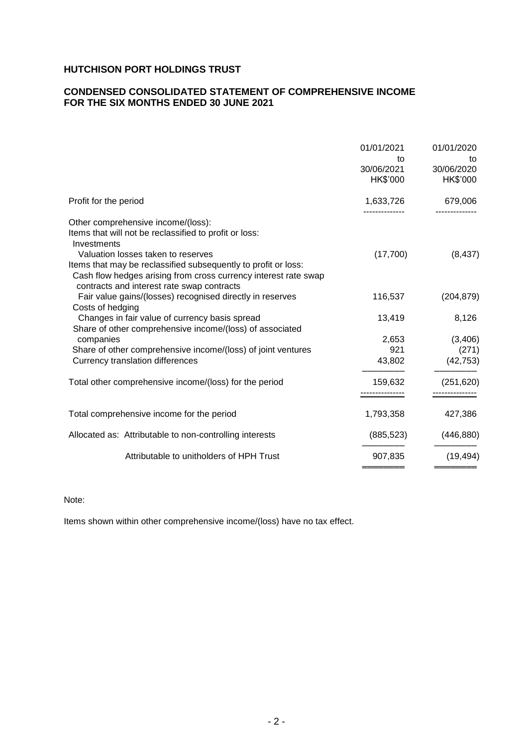# **CONDENSED CONSOLIDATED STATEMENT OF COMPREHENSIVE INCOME FOR THE SIX MONTHS ENDED 30 JUNE 2021**

|                                                                                                                                                                                                                       | 01/01/2021<br>to<br>30/06/2021<br>HK\$'000 | 01/01/2020<br>to<br>30/06/2020<br>HK\$'000 |
|-----------------------------------------------------------------------------------------------------------------------------------------------------------------------------------------------------------------------|--------------------------------------------|--------------------------------------------|
| Profit for the period                                                                                                                                                                                                 | 1,633,726                                  | 679,006                                    |
| Other comprehensive income/(loss):<br>Items that will not be reclassified to profit or loss:<br>Investments                                                                                                           |                                            |                                            |
| Valuation losses taken to reserves<br>Items that may be reclassified subsequently to profit or loss:<br>Cash flow hedges arising from cross currency interest rate swap<br>contracts and interest rate swap contracts | (17,700)                                   | (8, 437)                                   |
| Fair value gains/(losses) recognised directly in reserves<br>Costs of hedging                                                                                                                                         | 116,537                                    | (204, 879)                                 |
| Changes in fair value of currency basis spread<br>Share of other comprehensive income/(loss) of associated                                                                                                            | 13,419                                     | 8,126                                      |
| companies                                                                                                                                                                                                             | 2,653                                      | (3,406)                                    |
| Share of other comprehensive income/(loss) of joint ventures                                                                                                                                                          | 921                                        | (271)                                      |
| Currency translation differences                                                                                                                                                                                      | 43,802                                     | (42, 753)                                  |
| Total other comprehensive income/(loss) for the period                                                                                                                                                                | 159,632                                    | (251, 620)                                 |
| Total comprehensive income for the period                                                                                                                                                                             | 1,793,358                                  | 427,386                                    |
| Allocated as: Attributable to non-controlling interests                                                                                                                                                               | (885, 523)                                 | (446, 880)                                 |
| Attributable to unitholders of HPH Trust                                                                                                                                                                              | 907,835                                    | (19, 494)                                  |
|                                                                                                                                                                                                                       |                                            |                                            |

Note:

Items shown within other comprehensive income/(loss) have no tax effect.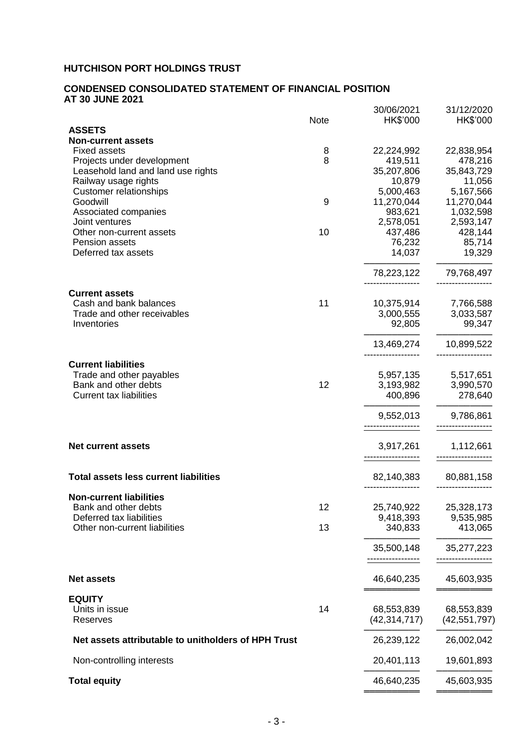#### **CONDENSED CONSOLIDATED STATEMENT OF FINANCIAL POSITION AT 30 JUNE 2021**

|                                                     |             | 30/06/2021                   | 31/12/2020                   |
|-----------------------------------------------------|-------------|------------------------------|------------------------------|
|                                                     | <b>Note</b> | HK\$'000                     | HK\$'000                     |
| <b>ASSETS</b><br><b>Non-current assets</b>          |             |                              |                              |
| <b>Fixed assets</b>                                 | 8           | 22,224,992                   | 22,838,954                   |
| Projects under development                          | 8           | 419,511                      | 478,216                      |
| Leasehold land and land use rights                  |             | 35,207,806                   | 35,843,729                   |
| Railway usage rights                                |             | 10,879                       | 11,056                       |
| <b>Customer relationships</b>                       |             | 5,000,463                    | 5,167,566                    |
| Goodwill                                            | 9           | 11,270,044                   | 11,270,044                   |
| Associated companies                                |             | 983,621                      | 1,032,598                    |
| Joint ventures                                      |             | 2,578,051                    | 2,593,147                    |
| Other non-current assets                            | 10          | 437,486                      | 428,144                      |
| Pension assets                                      |             | 76,232                       | 85,714                       |
| Deferred tax assets                                 |             | 14,037                       | 19,329                       |
|                                                     |             | 78,223,122                   | 79,768,497                   |
| <b>Current assets</b>                               |             |                              |                              |
| Cash and bank balances                              | 11          | 10,375,914                   | 7,766,588                    |
| Trade and other receivables                         |             | 3,000,555                    | 3,033,587                    |
| Inventories                                         |             | 92,805                       | 99,347                       |
|                                                     |             | 13,469,274                   | 10,899,522                   |
| <b>Current liabilities</b>                          |             |                              |                              |
| Trade and other payables                            |             | 5,957,135                    | 5,517,651                    |
| Bank and other debts                                | 12          | 3,193,982                    | 3,990,570                    |
| <b>Current tax liabilities</b>                      |             | 400,896                      | 278,640                      |
|                                                     |             | 9,552,013                    | 9,786,861                    |
|                                                     |             |                              |                              |
| <b>Net current assets</b>                           |             | 3,917,261                    | 1,112,661                    |
| <b>Total assets less current liabilities</b>        |             | 82,140,383                   | 80,881,158                   |
| <b>Non-current liabilities</b>                      |             |                              |                              |
| Bank and other debts                                | 12          | 25,740,922                   | 25,328,173                   |
| Deferred tax liabilities                            |             | 9,418,393                    | 9,535,985                    |
| Other non-current liabilities                       | 13          | 340,833                      | 413,065                      |
|                                                     |             | 35,500,148                   | 35,277,223                   |
|                                                     |             |                              |                              |
| <b>Net assets</b>                                   |             | 46,640,235                   | 45,603,935                   |
| <b>EQUITY</b><br>Units in issue                     | 14          |                              |                              |
| Reserves                                            |             | 68,553,839<br>(42, 314, 717) | 68,553,839<br>(42, 551, 797) |
|                                                     |             |                              |                              |
| Net assets attributable to unitholders of HPH Trust |             | 26,239,122                   | 26,002,042                   |
| Non-controlling interests                           |             | 20,401,113                   | 19,601,893                   |
| <b>Total equity</b>                                 |             | 46,640,235                   | 45,603,935                   |
|                                                     |             |                              |                              |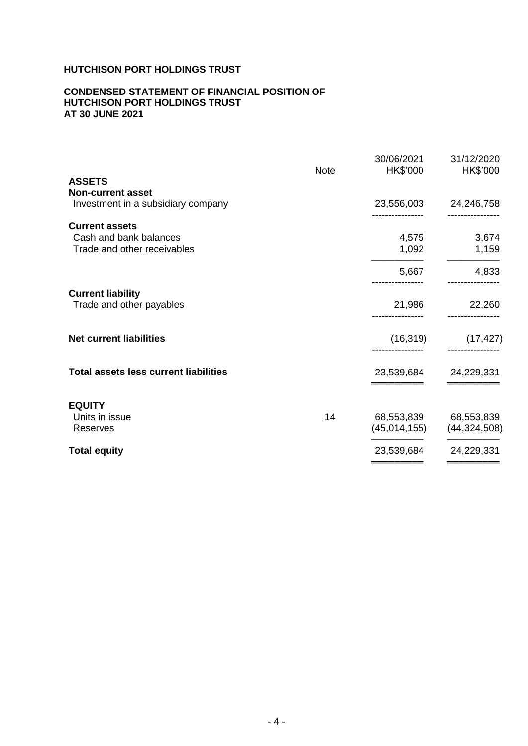## **CONDENSED STATEMENT OF FINANCIAL POSITION OF HUTCHISON PORT HOLDINGS TRUST AT 30 JUNE 2021**

|                                              | <b>Note</b> | 30/06/2021<br>HK\$'000 | 31/12/2020<br>HK\$'000 |
|----------------------------------------------|-------------|------------------------|------------------------|
| <b>ASSETS</b>                                |             |                        |                        |
| <b>Non-current asset</b>                     |             |                        |                        |
| Investment in a subsidiary company           |             | 23,556,003             | 24,246,758             |
| <b>Current assets</b>                        |             |                        |                        |
| Cash and bank balances                       |             | 4,575                  | 3,674                  |
| Trade and other receivables                  |             | 1,092                  | 1,159                  |
|                                              |             | 5,667                  | 4,833                  |
| <b>Current liability</b>                     |             |                        |                        |
| Trade and other payables                     |             | 21,986                 | 22,260                 |
| <b>Net current liabilities</b>               |             | (16, 319)              | (17, 427)              |
| <b>Total assets less current liabilities</b> |             | 23,539,684             | 24,229,331             |
| <b>EQUITY</b>                                |             |                        |                        |
| Units in issue                               | 14          | 68,553,839             | 68,553,839             |
| <b>Reserves</b>                              |             | (45,014,155)           | (44, 324, 508)         |
| <b>Total equity</b>                          |             | 23,539,684             | 24,229,331             |
|                                              |             |                        |                        |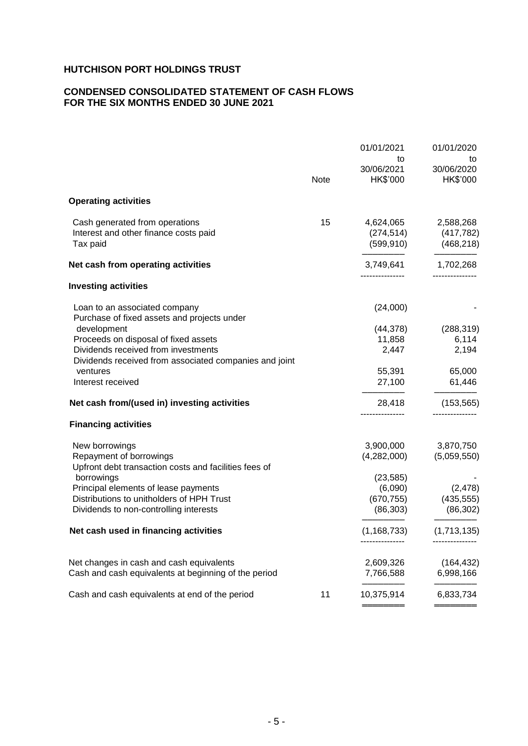# **CONDENSED CONSOLIDATED STATEMENT OF CASH FLOWS FOR THE SIX MONTHS ENDED 30 JUNE 2021**

|                                                                                                                                                                                                       | Note | 01/01/2021<br>to<br>30/06/2021<br>HK\$'000                     | 01/01/2020<br>to<br>30/06/2020<br>HK\$'000         |
|-------------------------------------------------------------------------------------------------------------------------------------------------------------------------------------------------------|------|----------------------------------------------------------------|----------------------------------------------------|
| <b>Operating activities</b>                                                                                                                                                                           |      |                                                                |                                                    |
| Cash generated from operations<br>Interest and other finance costs paid<br>Tax paid                                                                                                                   | 15   | 4,624,065<br>(274, 514)<br>(599, 910)                          | 2,588,268<br>(417, 782)<br>(468, 218)              |
| Net cash from operating activities                                                                                                                                                                    |      |                                                                | 3,749,641 1,702,268<br>-------------               |
| <b>Investing activities</b>                                                                                                                                                                           |      |                                                                |                                                    |
| Loan to an associated company<br>Purchase of fixed assets and projects under                                                                                                                          |      | (24,000)                                                       |                                                    |
| development<br>Proceeds on disposal of fixed assets<br>Dividends received from investments<br>Dividends received from associated companies and joint                                                  |      | (44,378)<br>11,858<br>2,447                                    | (288, 319)<br>6,114<br>2,194                       |
| ventures<br>Interest received                                                                                                                                                                         |      | 55,391<br>27,100                                               | 65,000<br>61,446                                   |
| Net cash from/(used in) investing activities                                                                                                                                                          |      | 28,418                                                         | (153, 565)                                         |
| <b>Financing activities</b>                                                                                                                                                                           |      |                                                                |                                                    |
| New borrowings<br>Repayment of borrowings<br>Upfront debt transaction costs and facilities fees of<br>borrowings<br>Principal elements of lease payments<br>Distributions to unitholders of HPH Trust |      | 3,900,000<br>(4,282,000)<br>(23, 585)<br>(6,090)<br>(670, 755) | 3,870,750<br>(5,059,550)<br>(2, 478)<br>(435, 555) |
| Dividends to non-controlling interests                                                                                                                                                                |      | (86, 303)                                                      | (86, 302)                                          |
| Net cash used in financing activities                                                                                                                                                                 |      | (1, 168, 733)                                                  | (1,713,135)                                        |
| Net changes in cash and cash equivalents<br>Cash and cash equivalents at beginning of the period                                                                                                      |      | 2,609,326<br>7,766,588                                         | (164, 432)<br>6,998,166                            |
| Cash and cash equivalents at end of the period                                                                                                                                                        | 11   | 10,375,914                                                     | 6,833,734                                          |
|                                                                                                                                                                                                       |      |                                                                |                                                    |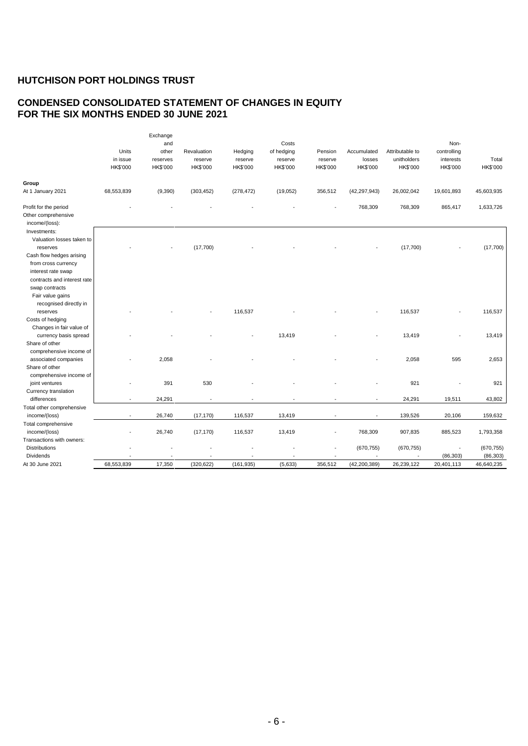# **CONDENSED CONSOLIDATED STATEMENT OF CHANGES IN EQUITY FOR THE SIX MONTHS ENDED 30 JUNE 2021**

|                                                                                                                                | Units<br>in issue<br>HK\$'000 | Exchange<br>and<br>other<br>reserves<br>HK\$'000 | Revaluation<br>reserve<br>HK\$'000 | Hedging<br>reserve<br><b>HK\$'000</b> | Costs<br>of hedging<br>reserve<br><b>HK\$'000</b> | Pension<br>reserve<br>HK\$'000 | Accumulated<br>losses<br>HK\$'000 | Attributable to<br>unitholders<br>HK\$'000 | Non-<br>controlling<br>interests<br>HK\$'000 | Total<br>HK\$'000 |
|--------------------------------------------------------------------------------------------------------------------------------|-------------------------------|--------------------------------------------------|------------------------------------|---------------------------------------|---------------------------------------------------|--------------------------------|-----------------------------------|--------------------------------------------|----------------------------------------------|-------------------|
| Group                                                                                                                          |                               |                                                  |                                    |                                       |                                                   |                                |                                   |                                            |                                              |                   |
| At 1 January 2021                                                                                                              | 68,553,839                    | (9,390)                                          | (303, 452)                         | (278, 472)                            | (19,052)                                          | 356,512                        | (42, 297, 943)                    | 26,002,042                                 | 19,601,893                                   | 45,603,935        |
| Profit for the period<br>Other comprehensive<br>income/(loss):                                                                 |                               |                                                  |                                    |                                       |                                                   |                                | 768,309                           | 768,309                                    | 865,417                                      | 1,633,726         |
| Investments:<br>Valuation losses taken to<br>reserves<br>Cash flow hedges arising<br>from cross currency<br>interest rate swap |                               |                                                  | (17,700)                           |                                       |                                                   |                                |                                   | (17,700)                                   |                                              | (17,700)          |
| contracts and interest rate<br>swap contracts<br>Fair value gains<br>recognised directly in                                    |                               |                                                  |                                    |                                       |                                                   |                                |                                   |                                            |                                              |                   |
| reserves<br>Costs of hedging<br>Changes in fair value of                                                                       |                               |                                                  |                                    | 116,537                               |                                                   |                                |                                   | 116,537                                    |                                              | 116,537           |
| currency basis spread<br>Share of other<br>comprehensive income of                                                             |                               |                                                  |                                    |                                       | 13,419                                            |                                |                                   | 13,419                                     |                                              | 13,419            |
| associated companies<br>Share of other<br>comprehensive income of                                                              |                               | 2,058                                            |                                    |                                       |                                                   |                                |                                   | 2,058                                      | 595                                          | 2,653             |
| joint ventures<br>Currency translation                                                                                         |                               | 391                                              | 530                                |                                       |                                                   |                                |                                   | 921                                        |                                              | 921               |
| differences                                                                                                                    |                               | 24,291                                           | $\overline{\phantom{a}}$           | ÷                                     |                                                   | $\overline{\phantom{a}}$       |                                   | 24,291                                     | 19,511                                       | 43,802            |
| Total other comprehensive                                                                                                      |                               |                                                  |                                    |                                       |                                                   |                                |                                   |                                            |                                              |                   |
| income/(loss)                                                                                                                  |                               | 26,740                                           | (17, 170)                          | 116,537                               | 13,419                                            |                                |                                   | 139,526                                    | 20,106                                       | 159,632           |
| Total comprehensive                                                                                                            |                               |                                                  |                                    |                                       |                                                   |                                |                                   |                                            |                                              |                   |
| income/(loss)                                                                                                                  |                               | 26,740                                           | (17, 170)                          | 116,537                               | 13,419                                            | ä,                             | 768,309                           | 907,835                                    | 885,523                                      | 1,793,358         |
| Transactions with owners:                                                                                                      |                               |                                                  |                                    |                                       |                                                   |                                |                                   |                                            |                                              |                   |
| <b>Distributions</b>                                                                                                           |                               |                                                  |                                    |                                       |                                                   |                                | (670, 755)                        | (670, 755)                                 |                                              | (670, 755)        |
| Dividends                                                                                                                      |                               |                                                  |                                    |                                       |                                                   |                                |                                   |                                            | (86, 303)                                    | (86, 303)         |
| At 30 June 2021                                                                                                                | 68.553.839                    | 17,350                                           | (320, 622)                         | (161, 935)                            | (5,633)                                           | 356,512                        | (42, 200, 389)                    | 26,239,122                                 | 20,401,113                                   | 46,640,235        |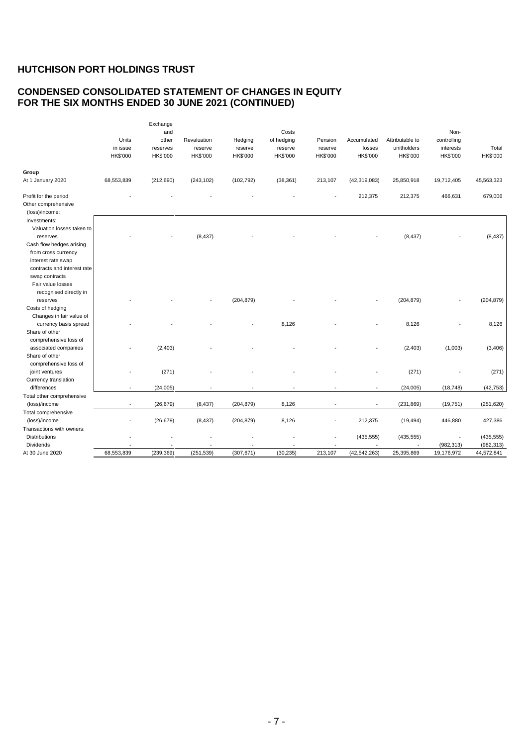# **CONDENSED CONSOLIDATED STATEMENT OF CHANGES IN EQUITY FOR THE SIX MONTHS ENDED 30 JUNE 2021 (CONTINUED)**

|                                                                                                          | Units<br>in issue<br>HK\$'000 | Exchange<br>and<br>other<br>reserves<br>HK\$'000 | Revaluation<br>reserve<br>HK\$'000 | Hedging<br>reserve<br><b>HK\$'000</b> | Costs<br>of hedging<br>reserve<br><b>HK\$'000</b> | Pension<br>reserve<br>HK\$'000 | Accumulated<br>losses<br>HK\$'000 | Attributable to<br>unitholders<br>HK\$'000 | Non-<br>controlling<br>interests<br>HK\$'000 | Total<br>HK\$'000        |
|----------------------------------------------------------------------------------------------------------|-------------------------------|--------------------------------------------------|------------------------------------|---------------------------------------|---------------------------------------------------|--------------------------------|-----------------------------------|--------------------------------------------|----------------------------------------------|--------------------------|
| Group<br>At 1 January 2020                                                                               | 68,553,839                    | (212, 690)                                       | (243, 102)                         | (102, 792)                            | (38, 361)                                         | 213,107                        | (42, 319, 083)                    | 25,850,918                                 | 19,712,405                                   | 45,563,323               |
|                                                                                                          |                               |                                                  |                                    |                                       |                                                   |                                |                                   |                                            |                                              |                          |
| Profit for the period<br>Other comprehensive<br>(loss)/income:                                           |                               |                                                  |                                    |                                       |                                                   |                                | 212,375                           | 212,375                                    | 466,631                                      | 679,006                  |
| Investments:<br>Valuation losses taken to<br>reserves<br>Cash flow hedges arising<br>from cross currency |                               |                                                  | (8, 437)                           |                                       |                                                   |                                |                                   | (8, 437)                                   |                                              | (8, 437)                 |
| interest rate swap<br>contracts and interest rate<br>swap contracts<br>Fair value losses                 |                               |                                                  |                                    |                                       |                                                   |                                |                                   |                                            |                                              |                          |
| recognised directly in<br>reserves<br>Costs of hedging                                                   |                               |                                                  |                                    | (204, 879)                            |                                                   |                                |                                   | (204, 879)                                 |                                              | (204, 879)               |
| Changes in fair value of<br>currency basis spread<br>Share of other                                      |                               |                                                  |                                    |                                       | 8,126                                             |                                |                                   | 8,126                                      |                                              | 8,126                    |
| comprehensive loss of<br>associated companies<br>Share of other                                          |                               | (2, 403)                                         |                                    |                                       |                                                   |                                |                                   | (2, 403)                                   | (1,003)                                      | (3, 406)                 |
| comprehensive loss of<br>joint ventures<br>Currency translation                                          |                               | (271)                                            |                                    |                                       |                                                   |                                |                                   | (271)                                      |                                              | (271)                    |
| differences                                                                                              | $\overline{\phantom{a}}$      | (24,005)                                         |                                    |                                       |                                                   | $\overline{\phantom{a}}$       | $\overline{\phantom{a}}$          | (24,005)                                   | (18, 748)                                    | (42, 753)                |
| Total other comprehensive                                                                                |                               |                                                  |                                    |                                       |                                                   |                                |                                   |                                            |                                              |                          |
| (loss)/income                                                                                            |                               | (26, 679)                                        | (8, 437)                           | (204, 879)                            | 8,126                                             |                                |                                   | (231, 869)                                 | (19, 751)                                    | (251, 620)               |
| Total comprehensive<br>(loss)/income                                                                     |                               | (26, 679)                                        | (8, 437)                           | (204, 879)                            | 8,126                                             |                                | 212,375                           | (19, 494)                                  | 446,880                                      | 427,386                  |
| Transactions with owners:<br><b>Distributions</b>                                                        |                               |                                                  |                                    |                                       |                                                   |                                | (435, 555)                        | (435, 555)                                 |                                              | (435, 555)               |
| Dividends<br>At 30 June 2020                                                                             | 68.553.839                    | (239.369)                                        | (251, 539)                         | (307, 671)                            | (30, 235)                                         | 213,107                        | (42, 542, 263)                    | 25,395,869                                 | (982, 313)<br>19,176,972                     | (982, 313)<br>44,572,841 |
|                                                                                                          |                               |                                                  |                                    |                                       |                                                   |                                |                                   |                                            |                                              |                          |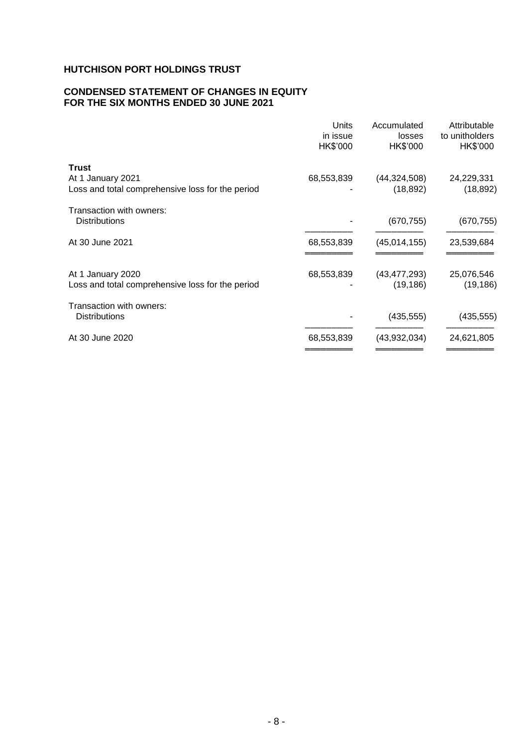## **CONDENSED STATEMENT OF CHANGES IN EQUITY FOR THE SIX MONTHS ENDED 30 JUNE 2021**

|                                                                                       | Units<br>in issue<br>HK\$'000 | Accumulated<br>losses<br>HK\$'000 | Attributable<br>to unitholders<br>HK\$'000 |
|---------------------------------------------------------------------------------------|-------------------------------|-----------------------------------|--------------------------------------------|
| <b>Trust</b><br>At 1 January 2021<br>Loss and total comprehensive loss for the period | 68,553,839                    | (44, 324, 508)<br>(18, 892)       | 24,229,331<br>(18, 892)                    |
| Transaction with owners:<br><b>Distributions</b>                                      |                               | (670, 755)                        | (670, 755)                                 |
| At 30 June 2021                                                                       | 68,553,839                    | (45,014,155)                      | 23,539,684                                 |
| At 1 January 2020<br>Loss and total comprehensive loss for the period                 | 68,553,839                    | (43, 477, 293)<br>(19, 186)       | 25,076,546<br>(19, 186)                    |
| Transaction with owners:<br><b>Distributions</b>                                      |                               | (435, 555)                        | (435, 555)                                 |
| At 30 June 2020                                                                       | 68,553,839                    | (43,932,034)                      | 24,621,805                                 |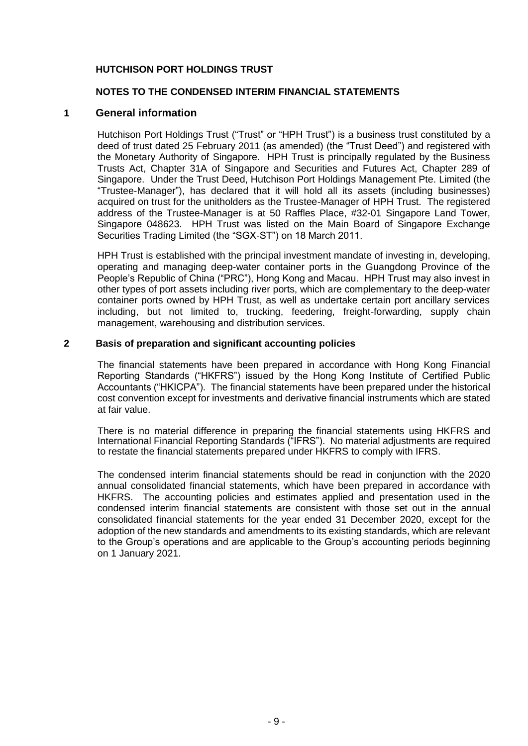# **NOTES TO THE CONDENSED INTERIM FINANCIAL STATEMENTS**

#### **1 General information**

Hutchison Port Holdings Trust ("Trust" or "HPH Trust") is a business trust constituted by a deed of trust dated 25 February 2011 (as amended) (the "Trust Deed") and registered with the Monetary Authority of Singapore. HPH Trust is principally regulated by the Business Trusts Act, Chapter 31A of Singapore and Securities and Futures Act, Chapter 289 of Singapore. Under the Trust Deed, Hutchison Port Holdings Management Pte. Limited (the "Trustee-Manager"), has declared that it will hold all its assets (including businesses) acquired on trust for the unitholders as the Trustee-Manager of HPH Trust. The registered address of the Trustee-Manager is at 50 Raffles Place, #32-01 Singapore Land Tower, Singapore 048623. HPH Trust was listed on the Main Board of Singapore Exchange Securities Trading Limited (the "SGX-ST") on 18 March 2011.

HPH Trust is established with the principal investment mandate of investing in, developing, operating and managing deep-water container ports in the Guangdong Province of the People's Republic of China ("PRC"), Hong Kong and Macau. HPH Trust may also invest in other types of port assets including river ports, which are complementary to the deep-water container ports owned by HPH Trust, as well as undertake certain port ancillary services including, but not limited to, trucking, feedering, freight-forwarding, supply chain management, warehousing and distribution services.

#### **2 Basis of preparation and significant accounting policies**

The financial statements have been prepared in accordance with Hong Kong Financial Reporting Standards ("HKFRS") issued by the Hong Kong Institute of Certified Public Accountants ("HKICPA"). The financial statements have been prepared under the historical cost convention except for investments and derivative financial instruments which are stated at fair value.

There is no material difference in preparing the financial statements using HKFRS and International Financial Reporting Standards ("IFRS"). No material adjustments are required to restate the financial statements prepared under HKFRS to comply with IFRS.

The condensed interim financial statements should be read in conjunction with the 2020 annual consolidated financial statements, which have been prepared in accordance with HKFRS. The accounting policies and estimates applied and presentation used in the condensed interim financial statements are consistent with those set out in the annual consolidated financial statements for the year ended 31 December 2020, except for the adoption of the new standards and amendments to its existing standards, which are relevant to the Group's operations and are applicable to the Group's accounting periods beginning on 1 January 2021.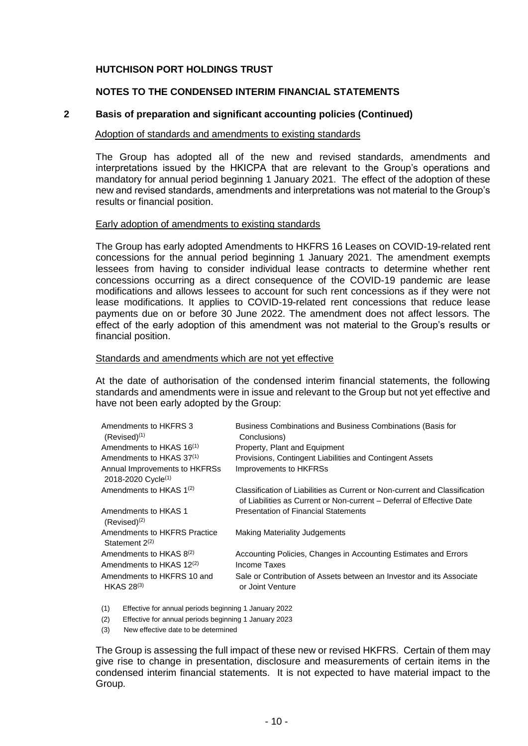#### **NOTES TO THE CONDENSED INTERIM FINANCIAL STATEMENTS**

#### **2 Basis of preparation and significant accounting policies (Continued)**

#### Adoption of standards and amendments to existing standards

The Group has adopted all of the new and revised standards, amendments and interpretations issued by the HKICPA that are relevant to the Group's operations and mandatory for annual period beginning 1 January 2021. The effect of the adoption of these new and revised standards, amendments and interpretations was not material to the Group's results or financial position.

#### Early adoption of amendments to existing standards

The Group has early adopted Amendments to HKFRS 16 Leases on COVID-19-related rent concessions for the annual period beginning 1 January 2021. The amendment exempts lessees from having to consider individual lease contracts to determine whether rent concessions occurring as a direct consequence of the COVID-19 pandemic are lease modifications and allows lessees to account for such rent concessions as if they were not lease modifications. It applies to COVID-19-related rent concessions that reduce lease payments due on or before 30 June 2022. The amendment does not affect lessors. The effect of the early adoption of this amendment was not material to the Group's results or financial position.

#### Standards and amendments which are not yet effective

At the date of authorisation of the condensed interim financial statements, the following standards and amendments were in issue and relevant to the Group but not yet effective and have not been early adopted by the Group:

| Amendments to HKFRS 3<br>$(Revised)^{(1)}$                      | Business Combinations and Business Combinations (Basis for<br>Conclusions)                                                                          |
|-----------------------------------------------------------------|-----------------------------------------------------------------------------------------------------------------------------------------------------|
| Amendments to HKAS 16 <sup>(1)</sup>                            | Property, Plant and Equipment                                                                                                                       |
| Amendments to HKAS 37 <sup>(1)</sup>                            | Provisions, Contingent Liabilities and Contingent Assets                                                                                            |
| Annual Improvements to HKFRSs<br>2018-2020 Cycle <sup>(1)</sup> | Improvements to HKFRSs                                                                                                                              |
| Amendments to HKAS $1^{(2)}$                                    | Classification of Liabilities as Current or Non-current and Classification<br>of Liabilities as Current or Non-current – Deferral of Effective Date |
| Amendments to HKAS 1<br>$(Revised)^{(2)}$                       | <b>Presentation of Financial Statements</b>                                                                                                         |
| Amendments to HKFRS Practice<br>Statement $2(2)$                | Making Materiality Judgements                                                                                                                       |
| Amendments to HKAS 8 <sup>(2)</sup>                             | Accounting Policies, Changes in Accounting Estimates and Errors                                                                                     |
| Amendments to HKAS 12 <sup>(2)</sup>                            | Income Taxes                                                                                                                                        |
| Amendments to HKFRS 10 and<br>HKAS $28^{(3)}$                   | Sale or Contribution of Assets between an Investor and its Associate<br>or Joint Venture                                                            |
|                                                                 |                                                                                                                                                     |

(1) Effective for annual periods beginning 1 January 2022

(2) Effective for annual periods beginning 1 January 2023

(3) New effective date to be determined

The Group is assessing the full impact of these new or revised HKFRS. Certain of them may give rise to change in presentation, disclosure and measurements of certain items in the condensed interim financial statements. It is not expected to have material impact to the Group.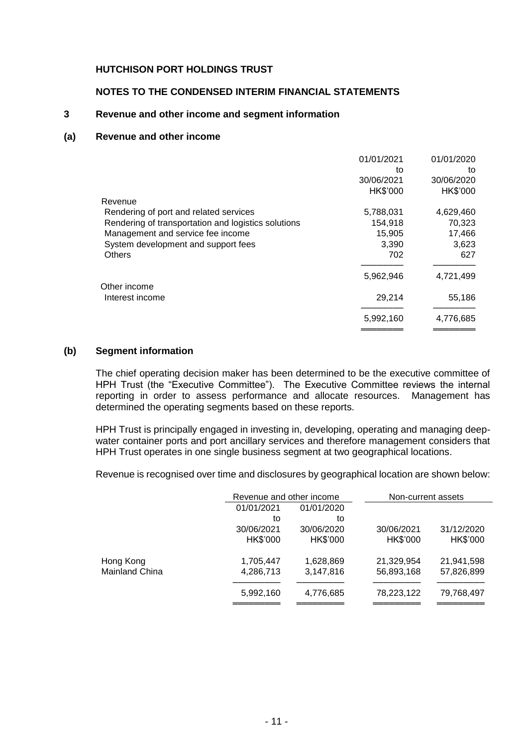#### **NOTES TO THE CONDENSED INTERIM FINANCIAL STATEMENTS**

# **3 Revenue and other income and segment information**

#### **(a) Revenue and other income**

|                                                     | 01/01/2021 | 01/01/2020 |
|-----------------------------------------------------|------------|------------|
|                                                     | to         | to         |
|                                                     | 30/06/2021 | 30/06/2020 |
|                                                     | HK\$'000   | HK\$'000   |
| Revenue                                             |            |            |
| Rendering of port and related services              | 5,788,031  | 4,629,460  |
| Rendering of transportation and logistics solutions | 154,918    | 70,323     |
| Management and service fee income                   | 15,905     | 17,466     |
| System development and support fees                 | 3,390      | 3,623      |
| <b>Others</b>                                       | 702        | 627        |
|                                                     | 5,962,946  | 4,721,499  |
| Other income                                        |            |            |
| Interest income                                     | 29,214     | 55,186     |
|                                                     | 5,992,160  | 4,776,685  |
|                                                     |            |            |

#### **(b) Segment information**

The chief operating decision maker has been determined to be the executive committee of HPH Trust (the "Executive Committee"). The Executive Committee reviews the internal reporting in order to assess performance and allocate resources. Management has determined the operating segments based on these reports.

HPH Trust is principally engaged in investing in, developing, operating and managing deepwater container ports and port ancillary services and therefore management considers that HPH Trust operates in one single business segment at two geographical locations.

Revenue is recognised over time and disclosures by geographical location are shown below:

|                       | Revenue and other income |            | Non-current assets |            |
|-----------------------|--------------------------|------------|--------------------|------------|
|                       | 01/01/2021               | 01/01/2020 |                    |            |
|                       | to                       | to         |                    |            |
|                       | 30/06/2021               | 30/06/2020 | 30/06/2021         | 31/12/2020 |
|                       | HK\$'000                 | HK\$'000   | HK\$'000           | HK\$'000   |
| Hong Kong             | 1,705,447                | 1,628,869  | 21,329,954         | 21,941,598 |
| <b>Mainland China</b> | 4,286,713                | 3,147,816  | 56,893,168         | 57,826,899 |
|                       | 5,992,160                | 4,776,685  | 78,223,122         | 79,768,497 |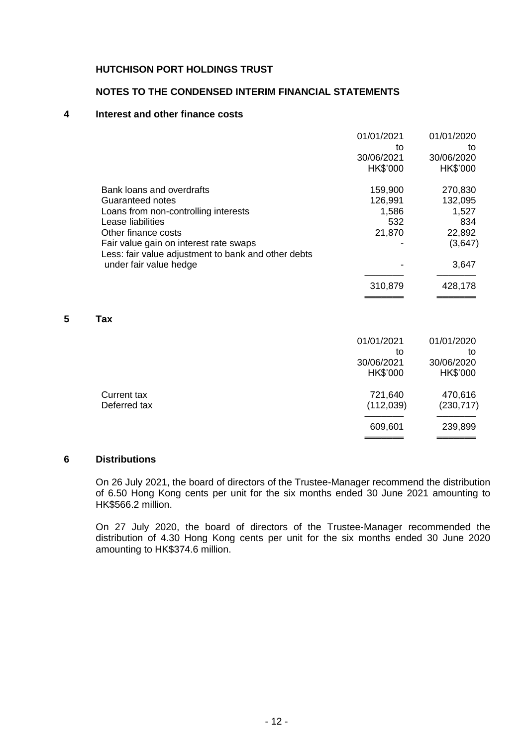### **NOTES TO THE CONDENSED INTERIM FINANCIAL STATEMENTS**

# **4 Interest and other finance costs**

|   |                                                     | 01/01/2021 | 01/01/2020 |
|---|-----------------------------------------------------|------------|------------|
|   |                                                     | to         | to         |
|   |                                                     | 30/06/2021 | 30/06/2020 |
|   |                                                     | HK\$'000   | HK\$'000   |
|   | Bank loans and overdrafts                           | 159,900    | 270,830    |
|   | Guaranteed notes                                    | 126,991    | 132,095    |
|   | Loans from non-controlling interests                | 1,586      | 1,527      |
|   | Lease liabilities                                   | 532        | 834        |
|   | Other finance costs                                 | 21,870     | 22,892     |
|   | Fair value gain on interest rate swaps              |            | (3,647)    |
|   | Less: fair value adjustment to bank and other debts |            |            |
|   | under fair value hedge                              |            | 3,647      |
|   |                                                     | 310,879    | 428,178    |
|   |                                                     |            |            |
| 5 | Tax                                                 |            |            |
|   |                                                     |            |            |
|   |                                                     | 01/01/2021 | 01/01/2020 |

|              | <u>UITUILULI</u> | <u>VIIVIILVLV</u> |
|--------------|------------------|-------------------|
|              | to               | to                |
|              | 30/06/2021       | 30/06/2020        |
|              | HK\$'000         | HK\$'000          |
| Current tax  | 721,640          | 470,616           |
| Deferred tax | (112, 039)       | (230, 717)        |
|              | 609,601          | 239,899           |
|              |                  |                   |
|              |                  |                   |

#### **6 Distributions**

On 26 July 2021, the board of directors of the Trustee-Manager recommend the distribution of 6.50 Hong Kong cents per unit for the six months ended 30 June 2021 amounting to HK\$566.2 million.

On 27 July 2020, the board of directors of the Trustee-Manager recommended the distribution of 4.30 Hong Kong cents per unit for the six months ended 30 June 2020 amounting to HK\$374.6 million.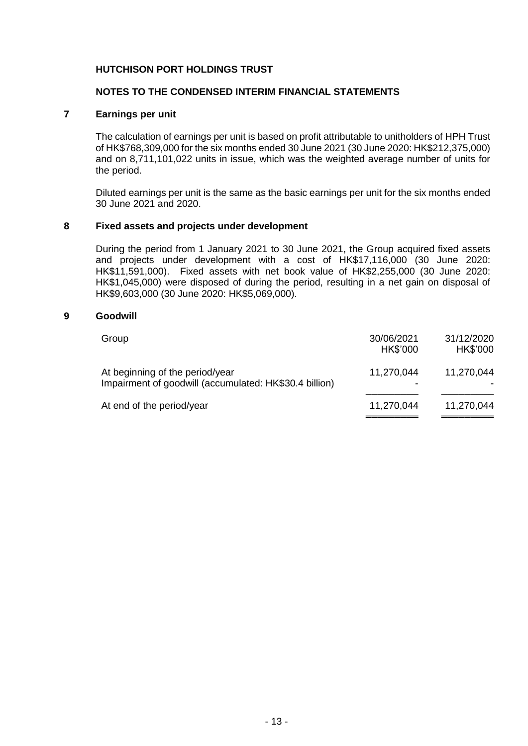# **NOTES TO THE CONDENSED INTERIM FINANCIAL STATEMENTS**

# **7 Earnings per unit**

The calculation of earnings per unit is based on profit attributable to unitholders of HPH Trust of HK\$768,309,000 for the six months ended 30 June 2021 (30 June 2020: HK\$212,375,000) and on 8,711,101,022 units in issue, which was the weighted average number of units for the period.

Diluted earnings per unit is the same as the basic earnings per unit for the six months ended 30 June 2021 and 2020.

#### **8 Fixed assets and projects under development**

During the period from 1 January 2021 to 30 June 2021, the Group acquired fixed assets and projects under development with a cost of HK\$17,116,000 (30 June 2020: HK\$11,591,000). Fixed assets with net book value of HK\$2,255,000 (30 June 2020: HK\$1,045,000) were disposed of during the period, resulting in a net gain on disposal of HK\$9,603,000 (30 June 2020: HK\$5,069,000).

#### **9 Goodwill**

| Group                                                                                     | 30/06/2021<br>HK\$'000 | 31/12/2020<br>HK\$'000 |
|-------------------------------------------------------------------------------------------|------------------------|------------------------|
| At beginning of the period/year<br>Impairment of goodwill (accumulated: HK\$30.4 billion) | 11,270,044             | 11,270,044             |
| At end of the period/year                                                                 | 11,270,044             | 11,270,044             |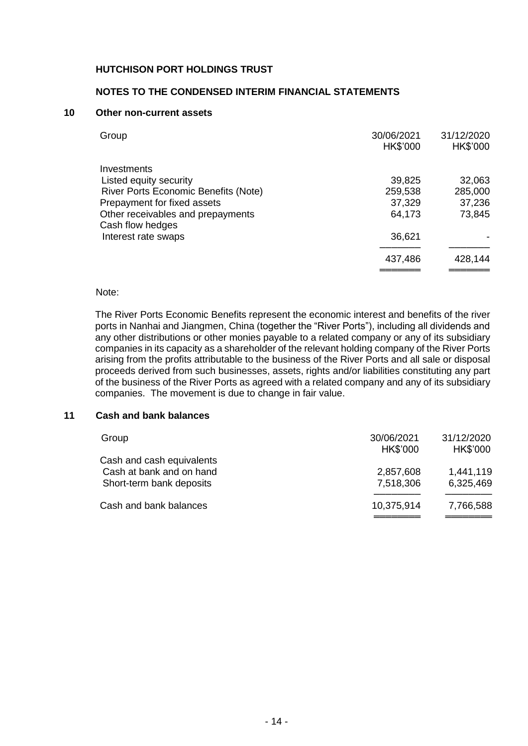## **NOTES TO THE CONDENSED INTERIM FINANCIAL STATEMENTS**

#### **10 Other non-current assets**

| Group                                       | 30/06/2021<br>HK\$'000 | 31/12/2020<br>HK\$'000 |
|---------------------------------------------|------------------------|------------------------|
| Investments                                 |                        |                        |
| Listed equity security                      | 39,825                 | 32,063                 |
| <b>River Ports Economic Benefits (Note)</b> | 259,538                | 285,000                |
| Prepayment for fixed assets                 | 37,329                 | 37,236                 |
| Other receivables and prepayments           | 64,173                 | 73,845                 |
| Cash flow hedges                            |                        |                        |
| Interest rate swaps                         | 36,621                 |                        |
|                                             | 437,486                | 428,144                |
|                                             |                        |                        |

#### Note:

The River Ports Economic Benefits represent the economic interest and benefits of the river ports in Nanhai and Jiangmen, China (together the "River Ports"), including all dividends and any other distributions or other monies payable to a related company or any of its subsidiary companies in its capacity as a shareholder of the relevant holding company of the River Ports arising from the profits attributable to the business of the River Ports and all sale or disposal proceeds derived from such businesses, assets, rights and/or liabilities constituting any part of the business of the River Ports as agreed with a related company and any of its subsidiary companies. The movement is due to change in fair value.

#### **11 Cash and bank balances**

| Group                                                                             | 30/06/2021<br>HK\$'000 | 31/12/2020<br>HK\$'000 |
|-----------------------------------------------------------------------------------|------------------------|------------------------|
| Cash and cash equivalents<br>Cash at bank and on hand<br>Short-term bank deposits | 2,857,608<br>7,518,306 | 1,441,119<br>6,325,469 |
| Cash and bank balances                                                            | 10,375,914             | 7,766,588              |
|                                                                                   |                        |                        |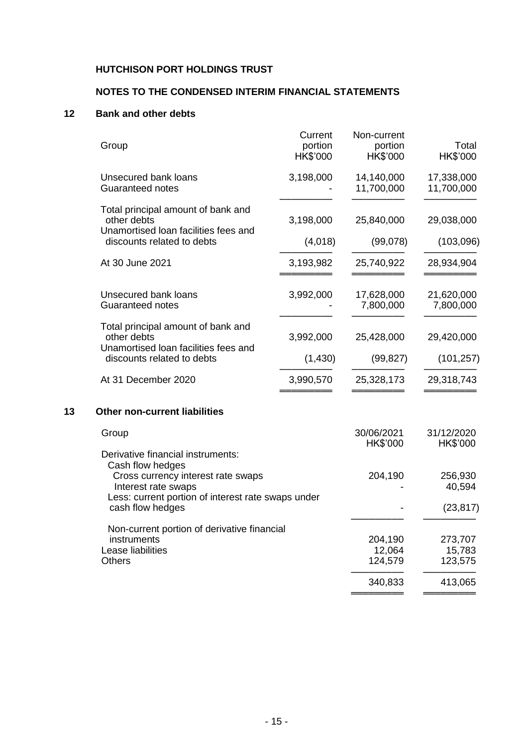# **NOTES TO THE CONDENSED INTERIM FINANCIAL STATEMENTS**

# **12 Bank and other debts**

| Total<br>HK\$'000              | Non-current<br>portion<br><b>HK\$'000</b> | Current<br>portion<br><b>HK\$'000</b> | Group                                                                                                                                                                                        |    |  |
|--------------------------------|-------------------------------------------|---------------------------------------|----------------------------------------------------------------------------------------------------------------------------------------------------------------------------------------------|----|--|
| 17,338,000<br>11,700,000       | 14,140,000<br>11,700,000                  | 3,198,000                             | Unsecured bank loans<br>Guaranteed notes                                                                                                                                                     |    |  |
| 29,038,000                     | 25,840,000                                | 3,198,000                             | Total principal amount of bank and<br>other debts<br>Unamortised Ioan facilities fees and                                                                                                    |    |  |
| (103,096)                      | (99,078)                                  | (4,018)                               | discounts related to debts                                                                                                                                                                   |    |  |
| 28,934,904                     | 25,740,922                                | 3,193,982                             | At 30 June 2021                                                                                                                                                                              |    |  |
| 21,620,000<br>7,800,000        | 17,628,000<br>7,800,000                   | 3,992,000                             | Unsecured bank loans<br>Guaranteed notes                                                                                                                                                     |    |  |
| 29,420,000                     | 25,428,000                                | 3,992,000                             | Total principal amount of bank and<br>other debts                                                                                                                                            |    |  |
| (101, 257)                     | (99, 827)                                 | (1, 430)                              | Unamortised Ioan facilities fees and<br>discounts related to debts                                                                                                                           |    |  |
| 29,318,743                     | 25,328,173                                | 3,990,570                             | At 31 December 2020                                                                                                                                                                          |    |  |
|                                |                                           |                                       | <b>Other non-current liabilities</b>                                                                                                                                                         | 13 |  |
| 31/12/2020<br>HK\$'000         | 30/06/2021<br>HK\$'000                    |                                       | Group                                                                                                                                                                                        |    |  |
| 256,930<br>40,594<br>(23, 817) | 204,190                                   |                                       | Derivative financial instruments:<br>Cash flow hedges<br>Cross currency interest rate swaps<br>Interest rate swaps<br>Less: current portion of interest rate swaps under<br>cash flow hedges |    |  |
| 273,707<br>15,783<br>123,575   | 204,190<br>12,064<br>124,579              |                                       | Non-current portion of derivative financial<br>instruments<br>Lease liabilities<br><b>Others</b>                                                                                             |    |  |
| 413,065                        | 340,833                                   |                                       |                                                                                                                                                                                              |    |  |

═════════ ═════════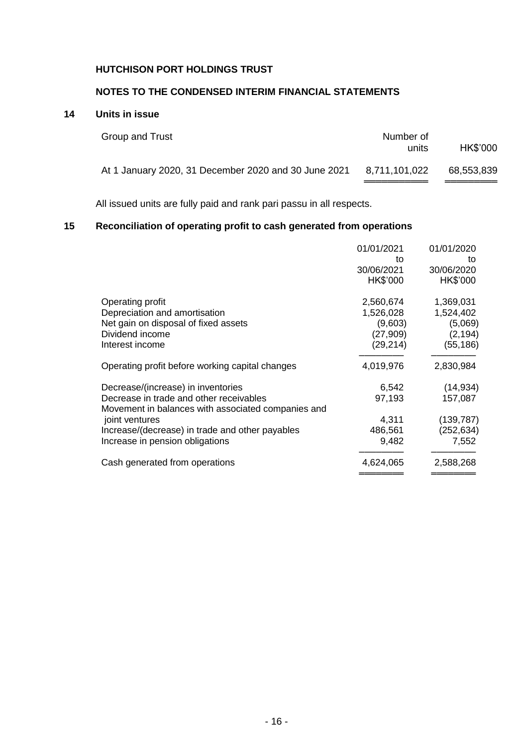# **NOTES TO THE CONDENSED INTERIM FINANCIAL STATEMENTS**

# **14 Units in issue**

| Group and Trust                                      | Number of<br>units | HK\$'000   |
|------------------------------------------------------|--------------------|------------|
| At 1 January 2020, 31 December 2020 and 30 June 2021 | 8,711,101,022      | 68,553,839 |

All issued units are fully paid and rank pari passu in all respects.

# **15 Reconciliation of operating profit to cash generated from operations**

|                                                    | 01/01/2021 | 01/01/2020 |
|----------------------------------------------------|------------|------------|
|                                                    | to         | to         |
|                                                    | 30/06/2021 | 30/06/2020 |
|                                                    | HK\$'000   | HK\$'000   |
| Operating profit                                   | 2,560,674  | 1,369,031  |
| Depreciation and amortisation                      | 1,526,028  | 1,524,402  |
| Net gain on disposal of fixed assets               | (9,603)    | (5,069)    |
| Dividend income                                    | (27,909)   | (2, 194)   |
| Interest income                                    | (29, 214)  | (55, 186)  |
| Operating profit before working capital changes    | 4,019,976  | 2,830,984  |
| Decrease/(increase) in inventories                 | 6,542      | (14, 934)  |
| Decrease in trade and other receivables            | 97,193     | 157,087    |
| Movement in balances with associated companies and |            |            |
| joint ventures                                     | 4,311      | (139, 787) |
| Increase/(decrease) in trade and other payables    | 486,561    | (252, 634) |
| Increase in pension obligations                    | 9,482      | 7,552      |
| Cash generated from operations                     | 4,624,065  | 2,588,268  |
|                                                    |            |            |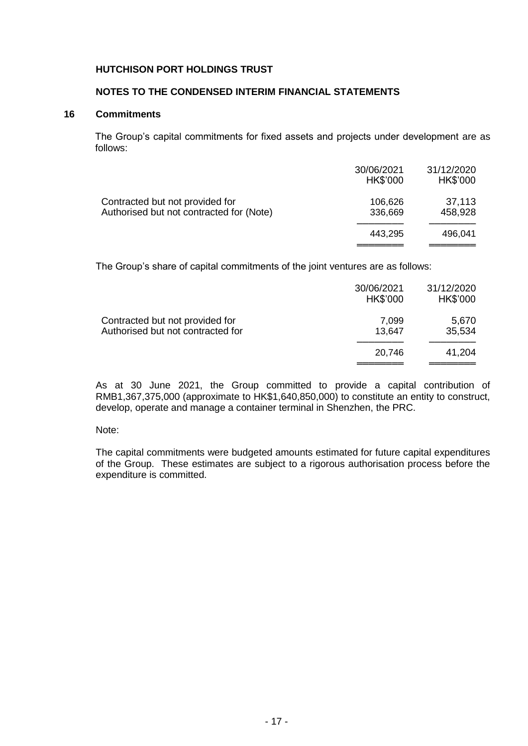# **NOTES TO THE CONDENSED INTERIM FINANCIAL STATEMENTS**

## **16 Commitments**

The Group's capital commitments for fixed assets and projects under development are as follows:

|                                                                             | 30/06/2021<br>HK\$'000 | 31/12/2020<br>HK\$'000 |
|-----------------------------------------------------------------------------|------------------------|------------------------|
| Contracted but not provided for<br>Authorised but not contracted for (Note) | 106,626<br>336,669     | 37,113<br>458,928      |
|                                                                             | 443,295                | 496,041                |

The Group's share of capital commitments of the joint ventures are as follows:

|                                                                      | 30/06/2021<br>HK\$'000 | 31/12/2020<br>HK\$'000 |
|----------------------------------------------------------------------|------------------------|------------------------|
| Contracted but not provided for<br>Authorised but not contracted for | 7,099<br>13,647        | 5,670<br>35,534        |
|                                                                      | 20,746                 | 41,204                 |

As at 30 June 2021, the Group committed to provide a capital contribution of RMB1,367,375,000 (approximate to HK\$1,640,850,000) to constitute an entity to construct, develop, operate and manage a container terminal in Shenzhen, the PRC.

#### Note:

The capital commitments were budgeted amounts estimated for future capital expenditures of the Group. These estimates are subject to a rigorous authorisation process before the expenditure is committed.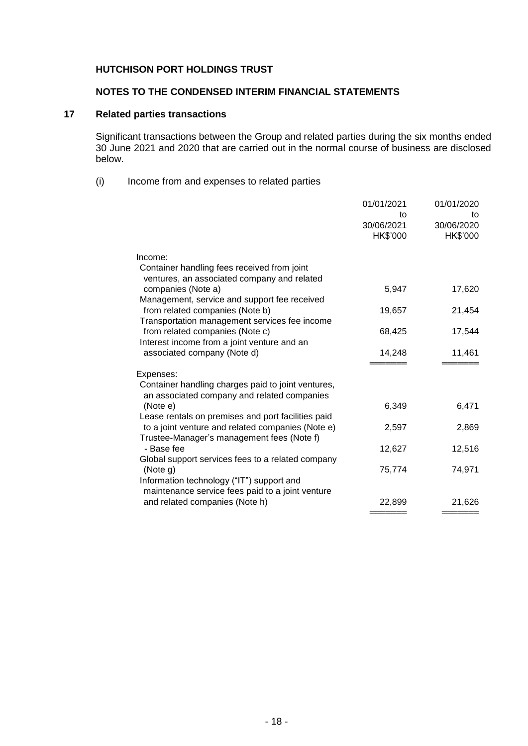# **NOTES TO THE CONDENSED INTERIM FINANCIAL STATEMENTS**

# **17 Related parties transactions**

Significant transactions between the Group and related parties during the six months ended 30 June 2021 and 2020 that are carried out in the normal course of business are disclosed below.

#### (i) Income from and expenses to related parties

|                                                                                                                                                       | 01/01/2021<br>to<br>30/06/2021<br>HK\$'000 | 01/01/2020<br>to<br>30/06/2020<br>HK\$'000 |
|-------------------------------------------------------------------------------------------------------------------------------------------------------|--------------------------------------------|--------------------------------------------|
| Income:                                                                                                                                               |                                            |                                            |
| Container handling fees received from joint<br>ventures, an associated company and related                                                            |                                            |                                            |
| companies (Note a)                                                                                                                                    | 5,947                                      | 17,620                                     |
| Management, service and support fee received<br>from related companies (Note b)<br>Transportation management services fee income                      | 19,657                                     | 21,454                                     |
| from related companies (Note c)<br>Interest income from a joint venture and an                                                                        | 68,425                                     | 17,544                                     |
| associated company (Note d)                                                                                                                           | 14,248                                     | 11,461                                     |
| Expenses:                                                                                                                                             |                                            |                                            |
| Container handling charges paid to joint ventures,<br>an associated company and related companies                                                     |                                            |                                            |
| (Note e)                                                                                                                                              | 6,349                                      | 6,471                                      |
| Lease rentals on premises and port facilities paid<br>to a joint venture and related companies (Note e)<br>Trustee-Manager's management fees (Note f) | 2,597                                      | 2,869                                      |
| - Base fee                                                                                                                                            | 12,627                                     | 12,516                                     |
| Global support services fees to a related company<br>(Note g)<br>Information technology ("IT") support and                                            | 75,774                                     | 74,971                                     |
| maintenance service fees paid to a joint venture                                                                                                      |                                            |                                            |
| and related companies (Note h)                                                                                                                        | 22,899                                     | 21,626                                     |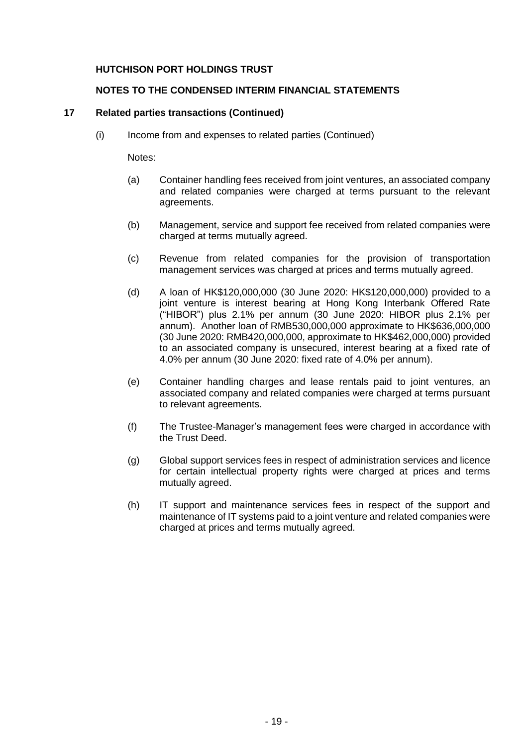# **NOTES TO THE CONDENSED INTERIM FINANCIAL STATEMENTS**

# **17 Related parties transactions (Continued)**

(i) Income from and expenses to related parties (Continued)

Notes:

- (a) Container handling fees received from joint ventures, an associated company and related companies were charged at terms pursuant to the relevant agreements.
- (b) Management, service and support fee received from related companies were charged at terms mutually agreed.
- (c) Revenue from related companies for the provision of transportation management services was charged at prices and terms mutually agreed.
- (d) A loan of HK\$120,000,000 (30 June 2020: HK\$120,000,000) provided to a joint venture is interest bearing at Hong Kong Interbank Offered Rate ("HIBOR") plus 2.1% per annum (30 June 2020: HIBOR plus 2.1% per annum). Another loan of RMB530,000,000 approximate to HK\$636,000,000 (30 June 2020: RMB420,000,000, approximate to HK\$462,000,000) provided to an associated company is unsecured, interest bearing at a fixed rate of 4.0% per annum (30 June 2020: fixed rate of 4.0% per annum).
- (e) Container handling charges and lease rentals paid to joint ventures, an associated company and related companies were charged at terms pursuant to relevant agreements.
- (f) The Trustee-Manager's management fees were charged in accordance with the Trust Deed.
- (g) Global support services fees in respect of administration services and licence for certain intellectual property rights were charged at prices and terms mutually agreed.
- (h) IT support and maintenance services fees in respect of the support and maintenance of IT systems paid to a joint venture and related companies were charged at prices and terms mutually agreed.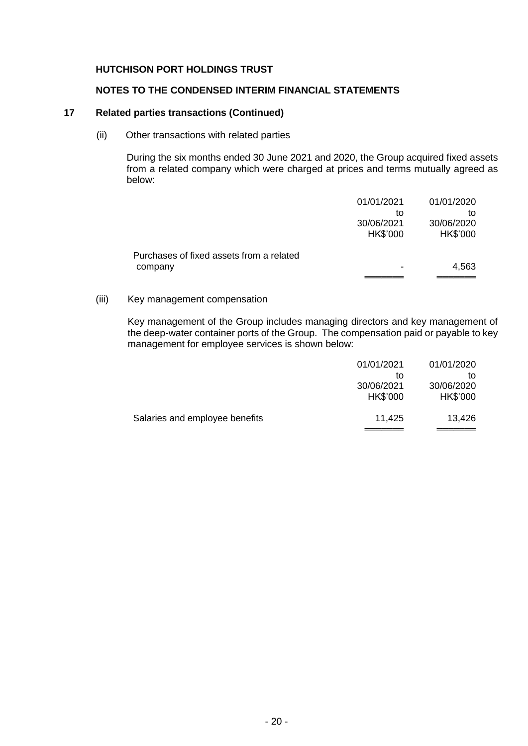# **NOTES TO THE CONDENSED INTERIM FINANCIAL STATEMENTS**

#### **17 Related parties transactions (Continued)**

(ii) Other transactions with related parties

During the six months ended 30 June 2021 and 2020, the Group acquired fixed assets from a related company which were charged at prices and terms mutually agreed as below:

|                                          | 01/01/2021 | 01/01/2020 |
|------------------------------------------|------------|------------|
|                                          | to         | to         |
|                                          | 30/06/2021 | 30/06/2020 |
|                                          | HK\$'000   | HK\$'000   |
| Purchases of fixed assets from a related |            |            |
| company                                  |            | 4,563      |
|                                          |            |            |

# (iii) Key management compensation

Key management of the Group includes managing directors and key management of the deep-water container ports of the Group. The compensation paid or payable to key management for employee services is shown below:

|                                | 01/01/2021 | 01/01/2020 |
|--------------------------------|------------|------------|
|                                | to         | to         |
|                                | 30/06/2021 | 30/06/2020 |
|                                | HK\$'000   | HK\$'000   |
| Salaries and employee benefits | 11,425     | 13,426     |
|                                |            |            |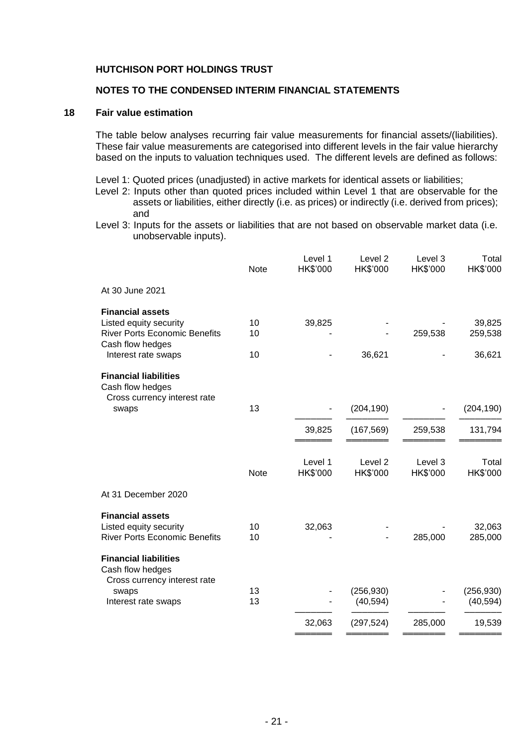# **NOTES TO THE CONDENSED INTERIM FINANCIAL STATEMENTS**

#### **18 Fair value estimation**

The table below analyses recurring fair value measurements for financial assets/(liabilities). These fair value measurements are categorised into different levels in the fair value hierarchy based on the inputs to valuation techniques used. The different levels are defined as follows:

Level 1: Quoted prices (unadjusted) in active markets for identical assets or liabilities;

- Level 2: Inputs other than quoted prices included within Level 1 that are observable for the assets or liabilities, either directly (i.e. as prices) or indirectly (i.e. derived from prices); and
- Level 3: Inputs for the assets or liabilities that are not based on observable market data (i.e. unobservable inputs).

| <b>Note</b> | Level 1<br>HK\$'000 | Level 2<br>HK\$'000 | Level 3<br>HK\$'000  | Total<br>HK\$'000           |
|-------------|---------------------|---------------------|----------------------|-----------------------------|
|             |                     |                     |                      |                             |
| 10<br>10    | 39,825              |                     | 259,538              | 39,825<br>259,538<br>36,621 |
|             |                     |                     |                      |                             |
| 13          |                     | (204, 190)          |                      | (204, 190)                  |
|             | 39,825              | (167, 569)          | 259,538              | 131,794                     |
| <b>Note</b> | Level 1<br>HK\$'000 | Level 2<br>HK\$'000 | Level 3<br>HK\$'000  | Total<br>HK\$'000           |
|             |                     |                     |                      |                             |
| 10<br>10    | 32,063              |                     | 285,000              | 32,063<br>285,000           |
|             |                     |                     |                      |                             |
| 13          |                     | (40, 594)           |                      | (256, 930)<br>(40, 594)     |
|             | 32,063              | (297, 524)          | 285,000              | 19,539                      |
|             | 10<br>13            |                     | 36,621<br>(256, 930) |                             |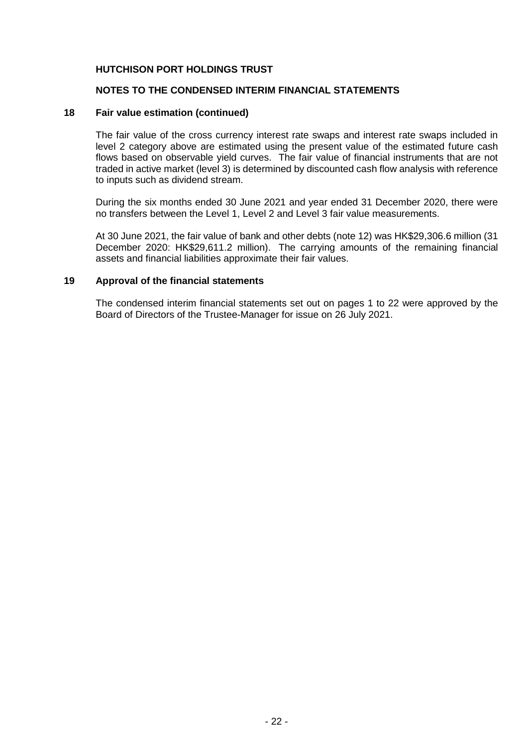#### **NOTES TO THE CONDENSED INTERIM FINANCIAL STATEMENTS**

#### **18 Fair value estimation (continued)**

The fair value of the cross currency interest rate swaps and interest rate swaps included in level 2 category above are estimated using the present value of the estimated future cash flows based on observable yield curves. The fair value of financial instruments that are not traded in active market (level 3) is determined by discounted cash flow analysis with reference to inputs such as dividend stream.

During the six months ended 30 June 2021 and year ended 31 December 2020, there were no transfers between the Level 1, Level 2 and Level 3 fair value measurements.

At 30 June 2021, the fair value of bank and other debts (note 12) was HK\$29,306.6 million (31 December 2020: HK\$29,611.2 million). The carrying amounts of the remaining financial assets and financial liabilities approximate their fair values.

#### **19 Approval of the financial statements**

The condensed interim financial statements set out on pages 1 to 22 were approved by the Board of Directors of the Trustee-Manager for issue on 26 July 2021.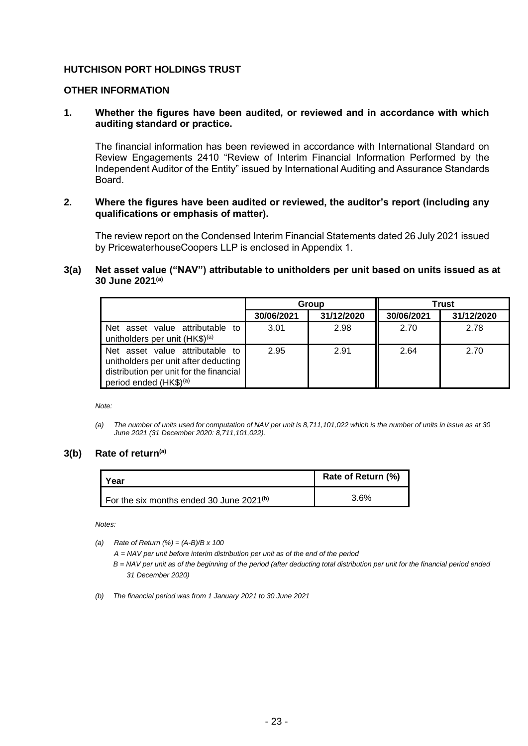#### **OTHER INFORMATION**

#### **1. Whether the figures have been audited, or reviewed and in accordance with which auditing standard or practice.**

The financial information has been reviewed in accordance with International Standard on Review Engagements 2410 "Review of Interim Financial Information Performed by the Independent Auditor of the Entity" issued by International Auditing and Assurance Standards Board.

#### **2. Where the figures have been audited or reviewed, the auditor's report (including any qualifications or emphasis of matter).**

The review report on the Condensed Interim Financial Statements dated 26 July 2021 issued by PricewaterhouseCoopers LLP is enclosed in Appendix 1.

## **3(a) Net asset value ("NAV") attributable to unitholders per unit based on units issued as at 30 June 2021(a)**

|                                                                                                                                                          | Group      |            | <b>Trust</b> |            |
|----------------------------------------------------------------------------------------------------------------------------------------------------------|------------|------------|--------------|------------|
|                                                                                                                                                          | 30/06/2021 | 31/12/2020 | 30/06/2021   | 31/12/2020 |
| Net asset value attributable to<br>unitholders per unit (HK\$) <sup>(a)</sup>                                                                            | 3.01       | 2.98       | 2.70         | 2.78       |
| Net asset value attributable to<br>unitholders per unit after deducting<br>distribution per unit for the financial<br>period ended (HK\$) <sup>(a)</sup> | 2.95       | 2.91       | 2.64         | 2.70       |

*Note:*

#### **3(b) Rate of return(a)**

| Year                                       | Rate of Return (%) |
|--------------------------------------------|--------------------|
| For the six months ended 30 June $2021(b)$ | $3.6\%$            |

*Notes:*

*(a) Rate of Return (%) = (A-B)/B x 100*

*A = NAV per unit before interim distribution per unit as of the end of the period*

*B = NAV per unit as of the beginning of the period (after deducting total distribution per unit for the financial period ended 31 December 2020)*

*(b) The financial period was from 1 January 2021 to 30 June 2021*

*<sup>(</sup>a) The number of units used for computation of NAV per unit is 8,711,101,022 which is the number of units in issue as at 30 June 2021 (31 December 2020: 8,711,101,022).*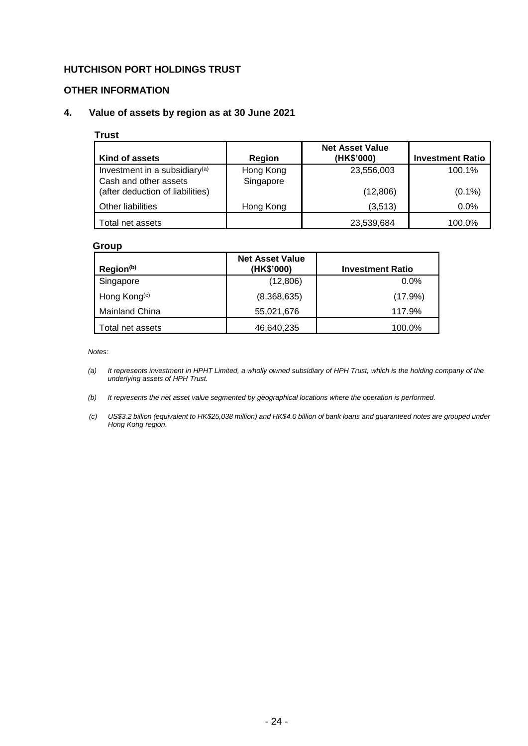## **OTHER INFORMATION**

# **4. Value of assets by region as at 30 June 2021**

#### **Trust**

| Kind of assets                                                     | Region                 | <b>Net Asset Value</b><br>(HK\$'000) | <b>Investment Ratio</b> |
|--------------------------------------------------------------------|------------------------|--------------------------------------|-------------------------|
| Investment in a subsidiary <sup>(a)</sup><br>Cash and other assets | Hong Kong<br>Singapore | 23,556,003                           | 100.1%                  |
| (after deduction of liabilities)                                   |                        | (12,806)                             | $(0.1\%)$               |
| Other liabilities                                                  | Hong Kong              | (3,513)                              | $0.0\%$                 |
| Total net assets                                                   |                        | 23,539,684                           | 100.0%                  |

#### **Group**

| Region <sup>(b)</sup>    | <b>Net Asset Value</b><br>(HK\$'000) | <b>Investment Ratio</b> |
|--------------------------|--------------------------------------|-------------------------|
| Singapore                | (12,806)                             | $0.0\%$                 |
| Hong Kong <sup>(c)</sup> | (8,368,635)                          | $(17.9\%)$              |
| <b>Mainland China</b>    | 55,021,676                           | 117.9%                  |
| Total net assets         | 46,640,235                           | 100.0%                  |

*Notes:*

- *(a) It represents investment in HPHT Limited, a wholly owned subsidiary of HPH Trust, which is the holding company of the underlying assets of HPH Trust.*
- *(b) It represents the net asset value segmented by geographical locations where the operation is performed.*
- *(c) US\$3.2 billion (equivalent to HK\$25,038 million) and HK\$4.0 billion of bank loans and guaranteed notes are grouped under Hong Kong region.*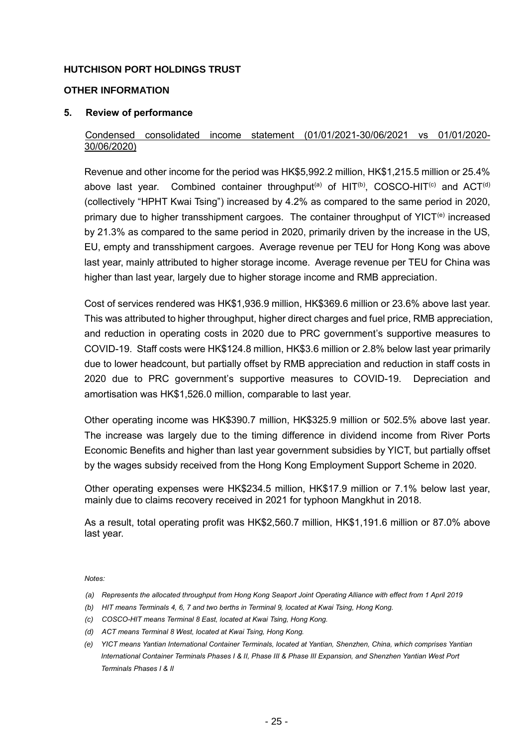### **OTHER INFORMATION**

## **5. Review of performance**

# Condensed consolidated income statement (01/01/2021-30/06/2021 vs 01/01/2020- 30/06/2020)

Revenue and other income for the period was HK\$5,992.2 million, HK\$1,215.5 million or 25.4% above last year. Combined container throughput<sup>(a)</sup> of  $HIT^{(b)}$ , COSCO-HIT<sup>(c)</sup> and ACT<sup>(d)</sup> (collectively "HPHT Kwai Tsing") increased by 4.2% as compared to the same period in 2020, primary due to higher transshipment cargoes. The container throughput of YICT<sup>(e)</sup> increased by 21.3% as compared to the same period in 2020, primarily driven by the increase in the US, EU, empty and transshipment cargoes. Average revenue per TEU for Hong Kong was above last year, mainly attributed to higher storage income. Average revenue per TEU for China was higher than last year, largely due to higher storage income and RMB appreciation.

Cost of services rendered was HK\$1,936.9 million, HK\$369.6 million or 23.6% above last year. This was attributed to higher throughput, higher direct charges and fuel price, RMB appreciation, and reduction in operating costs in 2020 due to PRC government's supportive measures to COVID-19. Staff costs were HK\$124.8 million, HK\$3.6 million or 2.8% below last year primarily due to lower headcount, but partially offset by RMB appreciation and reduction in staff costs in 2020 due to PRC government's supportive measures to COVID-19. Depreciation and amortisation was HK\$1,526.0 million, comparable to last year.

Other operating income was HK\$390.7 million, HK\$325.9 million or 502.5% above last year. The increase was largely due to the timing difference in dividend income from River Ports Economic Benefits and higher than last year government subsidies by YICT, but partially offset by the wages subsidy received from the Hong Kong Employment Support Scheme in 2020.

Other operating expenses were HK\$234.5 million, HK\$17.9 million or 7.1% below last year, mainly due to claims recovery received in 2021 for typhoon Mangkhut in 2018.

As a result, total operating profit was HK\$2,560.7 million, HK\$1,191.6 million or 87.0% above last year.

*Notes:*

- *(a) Represents the allocated throughput from Hong Kong Seaport Joint Operating Alliance with effect from 1 April 2019*
- *(b) HIT means Terminals 4, 6, 7 and two berths in Terminal 9, located at Kwai Tsing, Hong Kong.*
- *(c) COSCO-HIT means Terminal 8 East, located at Kwai Tsing, Hong Kong.*
- *(d) ACT means Terminal 8 West, located at Kwai Tsing, Hong Kong.*
- *(e) YICT means Yantian International Container Terminals, located at Yantian, Shenzhen, China, which comprises Yantian International Container Terminals Phases I & II, Phase III & Phase III Expansion, and Shenzhen Yantian West Port Terminals Phases I & II*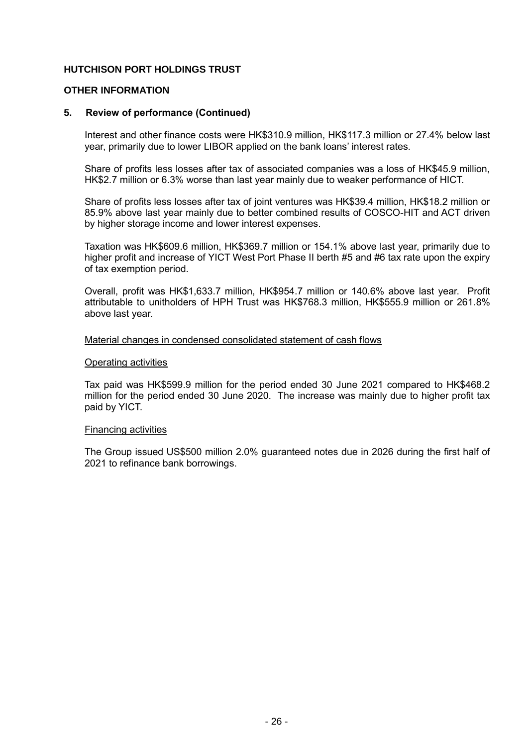#### **OTHER INFORMATION**

## **5. Review of performance (Continued)**

Interest and other finance costs were HK\$310.9 million, HK\$117.3 million or 27.4% below last year, primarily due to lower LIBOR applied on the bank loans' interest rates.

Share of profits less losses after tax of associated companies was a loss of HK\$45.9 million, HK\$2.7 million or 6.3% worse than last year mainly due to weaker performance of HICT.

Share of profits less losses after tax of joint ventures was HK\$39.4 million, HK\$18.2 million or 85.9% above last year mainly due to better combined results of COSCO-HIT and ACT driven by higher storage income and lower interest expenses.

Taxation was HK\$609.6 million, HK\$369.7 million or 154.1% above last year, primarily due to higher profit and increase of YICT West Port Phase II berth #5 and #6 tax rate upon the expiry of tax exemption period.

Overall, profit was HK\$1,633.7 million, HK\$954.7 million or 140.6% above last year. Profit attributable to unitholders of HPH Trust was HK\$768.3 million, HK\$555.9 million or 261.8% above last year.

#### Material changes in condensed consolidated statement of cash flows

#### Operating activities

Tax paid was HK\$599.9 million for the period ended 30 June 2021 compared to HK\$468.2 million for the period ended 30 June 2020. The increase was mainly due to higher profit tax paid by YICT.

#### Financing activities

The Group issued US\$500 million 2.0% guaranteed notes due in 2026 during the first half of 2021 to refinance bank borrowings.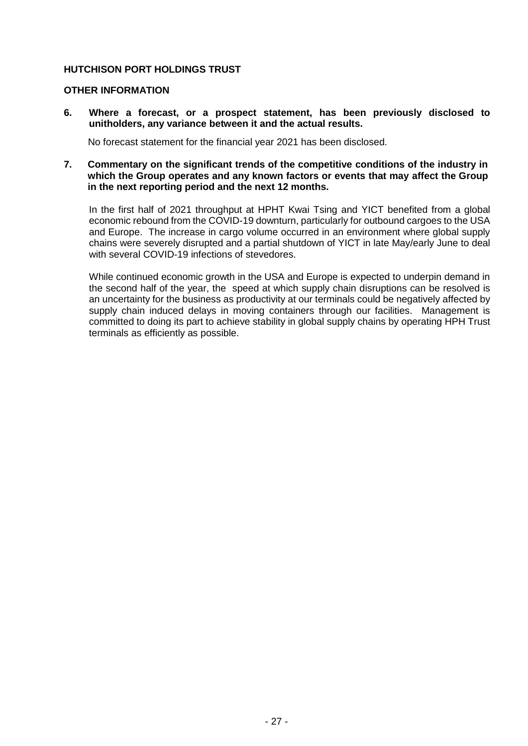#### **OTHER INFORMATION**

**6. Where a forecast, or a prospect statement, has been previously disclosed to unitholders, any variance between it and the actual results.** 

No forecast statement for the financial year 2021 has been disclosed.

**7. Commentary on the significant trends of the competitive conditions of the industry in which the Group operates and any known factors or events that may affect the Group in the next reporting period and the next 12 months.**

In the first half of 2021 throughput at HPHT Kwai Tsing and YICT benefited from a global economic rebound from the COVID-19 downturn, particularly for outbound cargoes to the USA and Europe. The increase in cargo volume occurred in an environment where global supply chains were severely disrupted and a partial shutdown of YICT in late May/early June to deal with several COVID-19 infections of stevedores.

While continued economic growth in the USA and Europe is expected to underpin demand in the second half of the year, the speed at which supply chain disruptions can be resolved is an uncertainty for the business as productivity at our terminals could be negatively affected by supply chain induced delays in moving containers through our facilities. Management is committed to doing its part to achieve stability in global supply chains by operating HPH Trust terminals as efficiently as possible.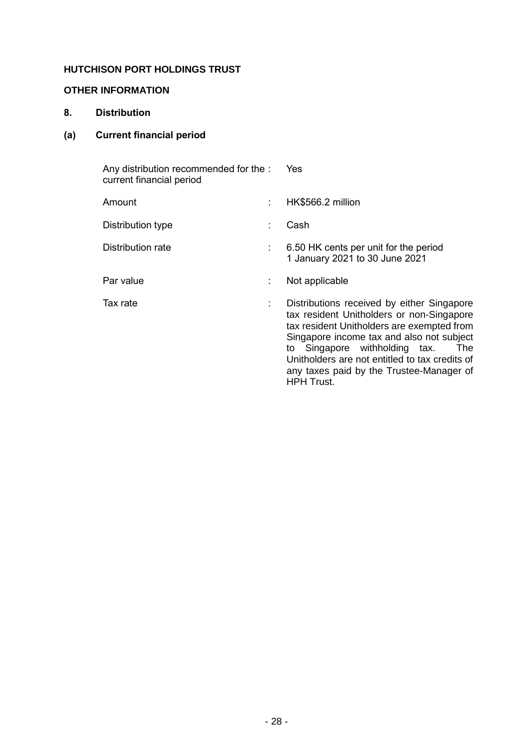# **OTHER INFORMATION**

# **8. Distribution**

# **(a) Current financial period**

| Any distribution recommended for the : Yes<br>current financial period |    |                                                                                                                                                                                                                                                                                                                          |
|------------------------------------------------------------------------|----|--------------------------------------------------------------------------------------------------------------------------------------------------------------------------------------------------------------------------------------------------------------------------------------------------------------------------|
| Amount                                                                 | t. | HK\$566.2 million                                                                                                                                                                                                                                                                                                        |
| Distribution type                                                      | ÷  | Cash                                                                                                                                                                                                                                                                                                                     |
| Distribution rate                                                      | ÷  | 6.50 HK cents per unit for the period<br>1 January 2021 to 30 June 2021                                                                                                                                                                                                                                                  |
| Par value                                                              | ÷  | Not applicable                                                                                                                                                                                                                                                                                                           |
| Tax rate                                                               | ÷  | Distributions received by either Singapore<br>tax resident Unitholders or non-Singapore<br>tax resident Unitholders are exempted from<br>Singapore income tax and also not subject<br>to Singapore withholding tax.<br>The<br>Unitholders are not entitled to tax credits of<br>any taxes paid by the Trustee-Manager of |

HPH Trust.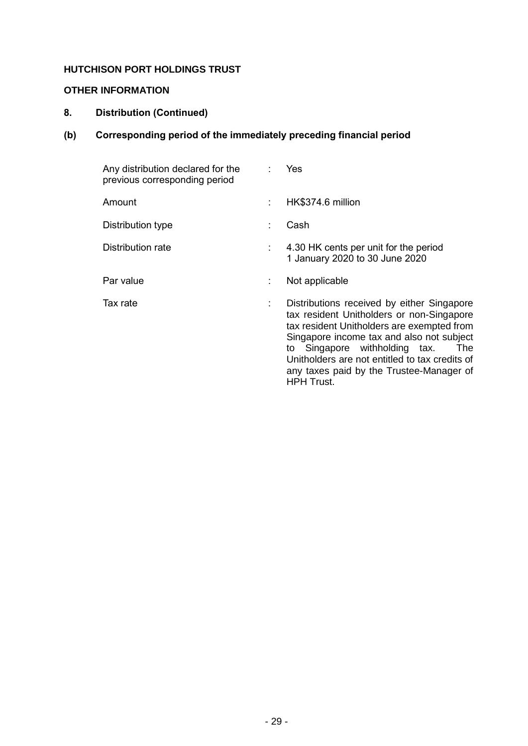# **OTHER INFORMATION**

# **8. Distribution (Continued)**

# **(b) Corresponding period of the immediately preceding financial period**

| Any distribution declared for the<br>previous corresponding period |    | Yes                                                                                                                                                                                                                                                                                                                                                  |
|--------------------------------------------------------------------|----|------------------------------------------------------------------------------------------------------------------------------------------------------------------------------------------------------------------------------------------------------------------------------------------------------------------------------------------------------|
| Amount                                                             | t. | HK\$374.6 million                                                                                                                                                                                                                                                                                                                                    |
| Distribution type                                                  |    | Cash                                                                                                                                                                                                                                                                                                                                                 |
| Distribution rate                                                  |    | 4.30 HK cents per unit for the period<br>1 January 2020 to 30 June 2020                                                                                                                                                                                                                                                                              |
| Par value                                                          | ÷  | Not applicable                                                                                                                                                                                                                                                                                                                                       |
| Tax rate                                                           | ÷  | Distributions received by either Singapore<br>tax resident Unitholders or non-Singapore<br>tax resident Unitholders are exempted from<br>Singapore income tax and also not subject<br>to Singapore withholding tax.<br><b>The</b><br>Unitholders are not entitled to tax credits of<br>any taxes paid by the Trustee-Manager of<br><b>HPH Trust.</b> |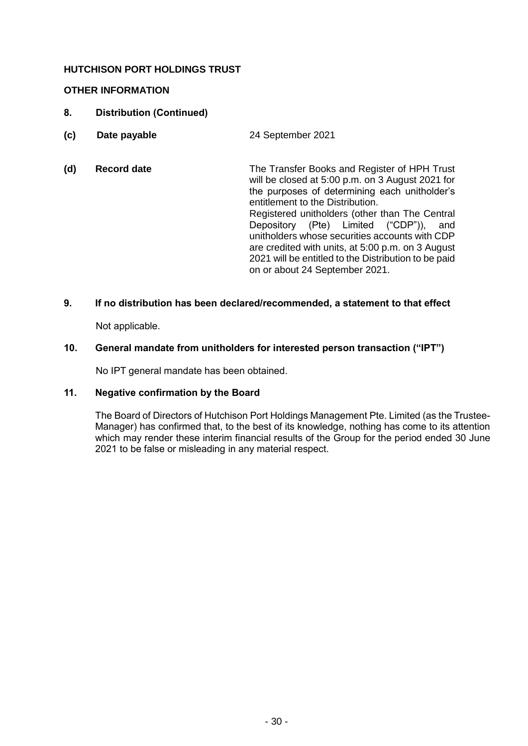# **OTHER INFORMATION**

- **8. Distribution (Continued)**
- **(c) Date payable** 24 September 2021 :
- **(d) Record date** The Transfer Books and Register of HPH Trust will be closed at 5:00 p.m. on 3 August 2021 for the purposes of determining each unitholder's entitlement to the Distribution. Registered unitholders (other than The Central Depository (Pte) Limited ("CDP")), and unitholders whose securities accounts with CDP are credited with units, at 5:00 p.m. on 3 August 2021 will be entitled to the Distribution to be paid on or about 24 September 2021.

# **9. If no distribution has been declared/recommended, a statement to that effect**

Not applicable.

#### **10. General mandate from unitholders for interested person transaction ("IPT")**

No IPT general mandate has been obtained.

# **11. Negative confirmation by the Board**

The Board of Directors of Hutchison Port Holdings Management Pte. Limited (as the Trustee-Manager) has confirmed that, to the best of its knowledge, nothing has come to its attention which may render these interim financial results of the Group for the period ended 30 June 2021 to be false or misleading in any material respect.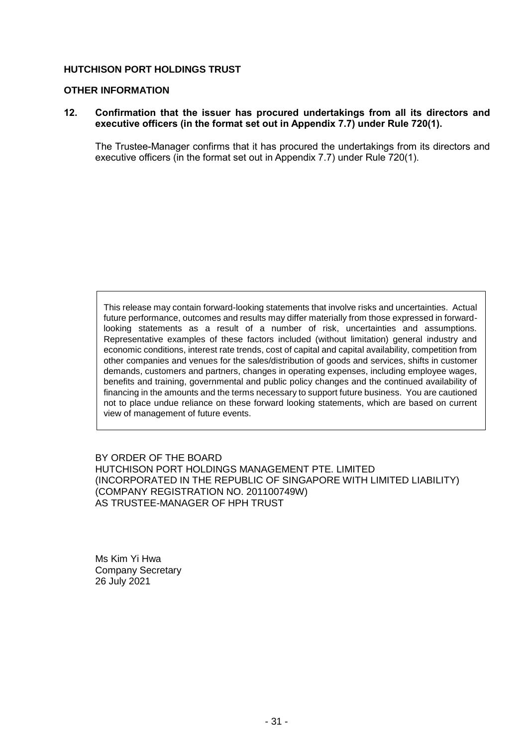#### **OTHER INFORMATION**

### **12. Confirmation that the issuer has procured undertakings from all its directors and executive officers (in the format set out in Appendix 7.7) under Rule 720(1).**

The Trustee-Manager confirms that it has procured the undertakings from its directors and executive officers (in the format set out in Appendix 7.7) under Rule 720(1).

This release may contain forward-looking statements that involve risks and uncertainties. Actual future performance, outcomes and results may differ materially from those expressed in forwardlooking statements as a result of a number of risk, uncertainties and assumptions. Representative examples of these factors included (without limitation) general industry and economic conditions, interest rate trends, cost of capital and capital availability, competition from other companies and venues for the sales/distribution of goods and services, shifts in customer demands, customers and partners, changes in operating expenses, including employee wages, benefits and training, governmental and public policy changes and the continued availability of financing in the amounts and the terms necessary to support future business. You are cautioned not to place undue reliance on these forward looking statements, which are based on current view of management of future events.

BY ORDER OF THE BOARD HUTCHISON PORT HOLDINGS MANAGEMENT PTE. LIMITED (INCORPORATED IN THE REPUBLIC OF SINGAPORE WITH LIMITED LIABILITY) (COMPANY REGISTRATION NO. 201100749W) AS TRUSTEE-MANAGER OF HPH TRUST

Ms Kim Yi Hwa Company Secretary 26 July 2021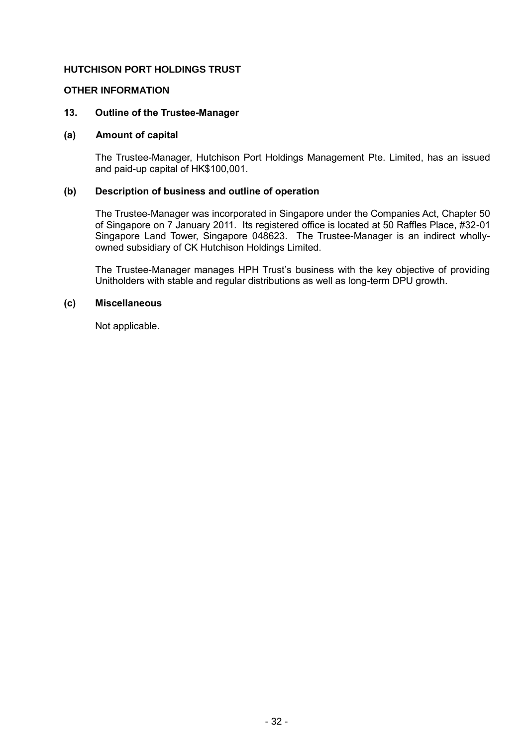#### **OTHER INFORMATION**

#### **13. Outline of the Trustee-Manager**

#### **(a) Amount of capital**

The Trustee-Manager, Hutchison Port Holdings Management Pte. Limited, has an issued and paid-up capital of HK\$100,001.

#### **(b) Description of business and outline of operation**

The Trustee-Manager was incorporated in Singapore under the Companies Act, Chapter 50 of Singapore on 7 January 2011. Its registered office is located at 50 Raffles Place, #32-01 Singapore Land Tower, Singapore 048623. The Trustee-Manager is an indirect whollyowned subsidiary of CK Hutchison Holdings Limited.

The Trustee-Manager manages HPH Trust's business with the key objective of providing Unitholders with stable and regular distributions as well as long-term DPU growth.

#### **(c) Miscellaneous**

Not applicable.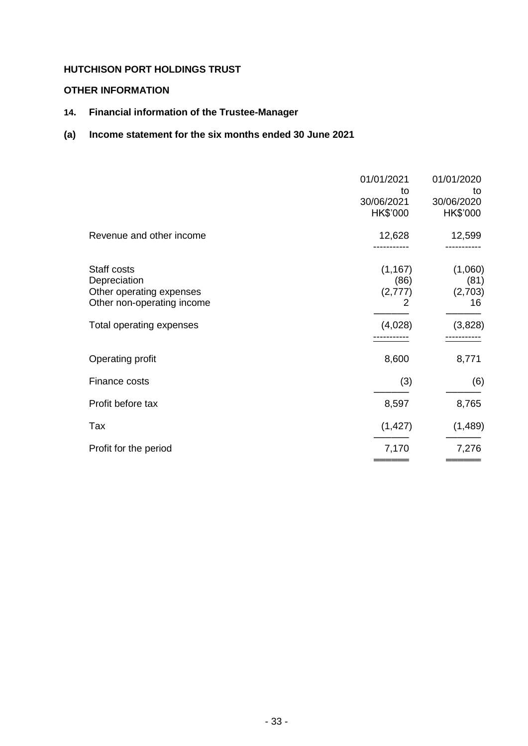# **OTHER INFORMATION**

**14. Financial information of the Trustee-Manager**

# **(a) Income statement for the six months ended 30 June 2021**

|                                                                                       | 01/01/2021<br>to<br>30/06/2021<br>HK\$'000 | 01/01/2020<br>to<br>30/06/2020<br>HK\$'000 |
|---------------------------------------------------------------------------------------|--------------------------------------------|--------------------------------------------|
| Revenue and other income                                                              | 12,628                                     | 12,599                                     |
| Staff costs<br>Depreciation<br>Other operating expenses<br>Other non-operating income | (1, 167)<br>(86)<br>(2,777)<br>2           | (1,060)<br>(81)<br>(2,703)<br>16           |
| Total operating expenses                                                              | (4,028)                                    | (3,828)                                    |
| Operating profit                                                                      | 8,600                                      | 8,771                                      |
| Finance costs                                                                         | (3)                                        | (6)                                        |
| Profit before tax                                                                     | 8,597                                      | 8,765                                      |
| Tax                                                                                   | (1, 427)                                   | (1, 489)                                   |
| Profit for the period                                                                 | 7,170                                      | 7,276                                      |
|                                                                                       |                                            |                                            |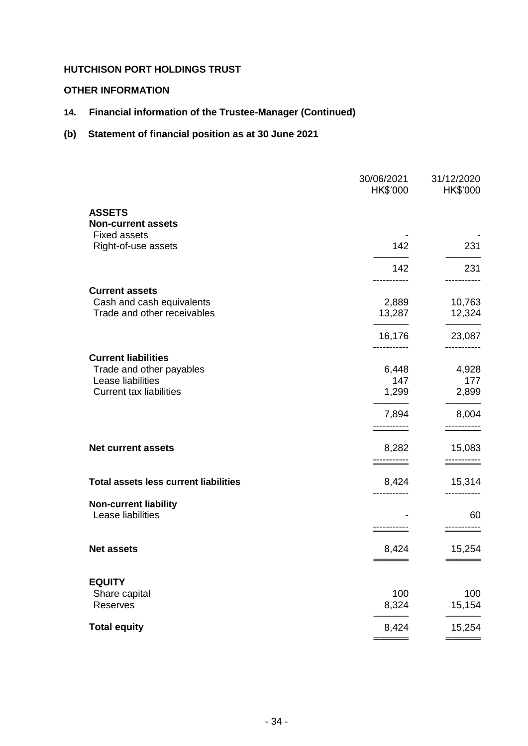# **OTHER INFORMATION**

# **14. Financial information of the Trustee-Manager (Continued)**

# **(b) Statement of financial position as at 30 June 2021**

|                                                   | 30/06/2021<br>HK\$'000 | 31/12/2020<br>HK\$'000 |
|---------------------------------------------------|------------------------|------------------------|
| <b>ASSETS</b>                                     |                        |                        |
| <b>Non-current assets</b>                         |                        |                        |
| <b>Fixed assets</b>                               |                        |                        |
| Right-of-use assets                               | 142                    | 231                    |
|                                                   | 142                    | 231                    |
| <b>Current assets</b>                             |                        |                        |
| Cash and cash equivalents                         | 2,889                  | 10,763                 |
| Trade and other receivables                       | 13,287                 | 12,324                 |
|                                                   | 16,176                 | 23,087                 |
| <b>Current liabilities</b>                        |                        |                        |
| Trade and other payables                          | 6,448                  | 4,928                  |
| Lease liabilities                                 | 147                    | 177                    |
| <b>Current tax liabilities</b>                    | 1,299                  | 2,899                  |
|                                                   | 7,894                  | 8,004                  |
|                                                   | -----------            | -----------            |
| <b>Net current assets</b>                         | 8,282                  | 15,083                 |
|                                                   |                        |                        |
| <b>Total assets less current liabilities</b>      | 8,424                  | 15,314                 |
|                                                   |                        |                        |
| <b>Non-current liability</b><br>Lease liabilities |                        | 60                     |
|                                                   |                        |                        |
| <b>Net assets</b>                                 | 8,424                  | 15,254                 |
|                                                   |                        |                        |
| <b>EQUITY</b>                                     |                        |                        |
| Share capital                                     | 100                    | 100                    |
| Reserves                                          | 8,324                  | 15,154                 |
| <b>Total equity</b>                               | 8,424                  | 15,254                 |
|                                                   |                        |                        |